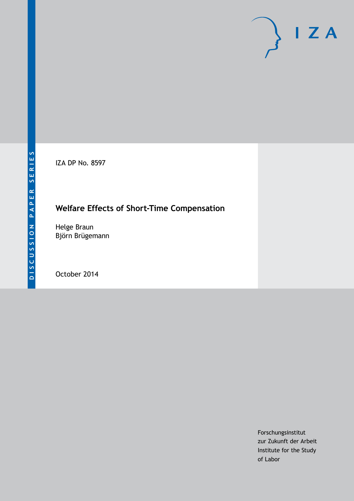IZA DP No. 8597

# **Welfare Effects of Short-Time Compensation**

Helge Braun Björn Brügemann

October 2014

Forschungsinstitut zur Zukunft der Arbeit Institute for the Study of Labor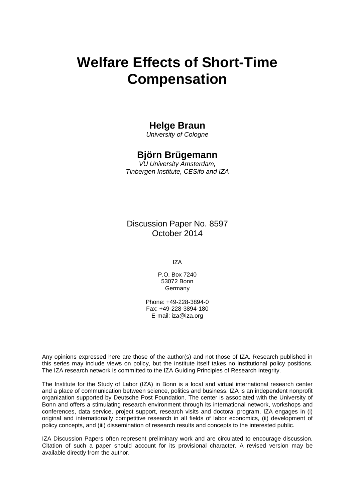# **Welfare Effects of Short-Time Compensation**

### **Helge Braun**

*University of Cologne*

### **Björn Brügemann**

*VU University Amsterdam, Tinbergen Institute, CESifo and IZA*

Discussion Paper No. 8597 October 2014

IZA

P.O. Box 7240 53072 Bonn Germany

Phone: +49-228-3894-0 Fax: +49-228-3894-180 E-mail: [iza@iza.org](mailto:iza@iza.org)

Any opinions expressed here are those of the author(s) and not those of IZA. Research published in this series may include views on policy, but the institute itself takes no institutional policy positions. The IZA research network is committed to the IZA Guiding Principles of Research Integrity.

The Institute for the Study of Labor (IZA) in Bonn is a local and virtual international research center and a place of communication between science, politics and business. IZA is an independent nonprofit organization supported by Deutsche Post Foundation. The center is associated with the University of Bonn and offers a stimulating research environment through its international network, workshops and conferences, data service, project support, research visits and doctoral program. IZA engages in (i) original and internationally competitive research in all fields of labor economics, (ii) development of policy concepts, and (iii) dissemination of research results and concepts to the interested public.

<span id="page-1-0"></span>IZA Discussion Papers often represent preliminary work and are circulated to encourage discussion. Citation of such a paper should account for its provisional character. A revised version may be available directly from the author.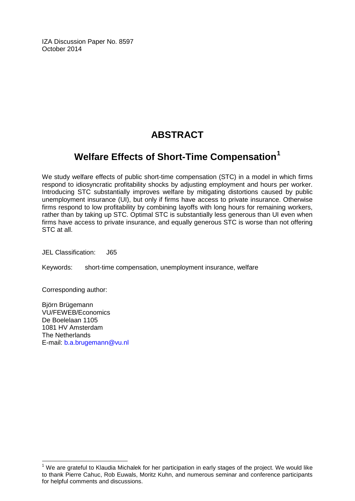IZA Discussion Paper No. 8597 October 2014

# **ABSTRACT**

# **Welfare Effects of Short-Time Compensation[1](#page-1-0)**

We study welfare effects of public short-time compensation (STC) in a model in which firms respond to idiosyncratic profitability shocks by adjusting employment and hours per worker. Introducing STC substantially improves welfare by mitigating distortions caused by public unemployment insurance (UI), but only if firms have access to private insurance. Otherwise firms respond to low profitability by combining layoffs with long hours for remaining workers, rather than by taking up STC. Optimal STC is substantially less generous than UI even when firms have access to private insurance, and equally generous STC is worse than not offering STC at all.

JEL Classification: J65

Keywords: short-time compensation, unemployment insurance, welfare

Corresponding author:

Björn Brügemann VU/FEWEB/Economics De Boelelaan 1105 1081 HV Amsterdam The Netherlands E-mail: [b.a.brugemann@vu.nl](mailto:b.a.brugemann@vu.nl)

 $<sup>1</sup>$  We are grateful to Klaudia Michalek for her participation in early stages of the project. We would like</sup> to thank Pierre Cahuc, Rob Euwals, Moritz Kuhn, and numerous seminar and conference participants for helpful comments and discussions.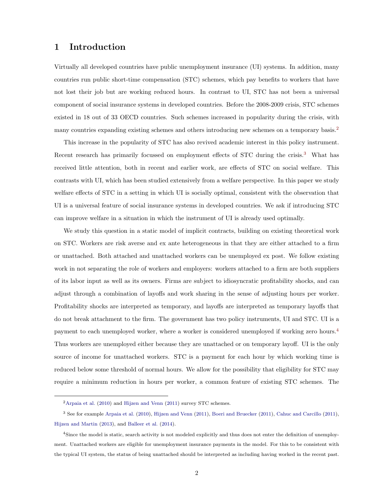### **1 Introduction**

Virtually all developed countries have public unemployment insurance (UI) systems. In addition, many countries run public short-time compensation (STC) schemes, which pay benefits to workers that have not lost their job but are working reduced hours. In contrast to UI, STC has not been a universal component of social insurance systems in developed countries. Before the 2008-2009 crisis, STC schemes existed in 18 out of 33 OECD countries. Such schemes increased in popularity during the crisis, with many countries expanding existing schemes and others introducing new schemes on a temporary basis.2

This increase in the popularity of STC has also revived academic interest in this policy instrument. Recent research has primarily focussed on employment effects of STC during the crisis.<sup>3</sup> What has received little attention, both in recent and earlier work, are effects of STC on social welfare. This contrasts with UI, which has been studied extensively from a welfare perspective. In this paper we study welfare effects of STC in a setting in which UI is socially optimal, consistent with the observation that UI is a universal feature of social insurance systems in developed countries. We ask if introducing STC can improve welfare in a situation in which the instrument of UI is already used optimally.

We study this question in a static model of implicit contracts, building on existing theoretical work on STC. Workers are risk averse and ex ante heterogeneous in that they are either attached to a firm or unattached. Both attached and unattached workers can be unemployed ex post. We follow existing work in not separating the role of workers and employers: workers attached to a firm are both suppliers of its labor input as well as its owners. Firms are subject to idiosyncratic profitability shocks, and can adjust through a combination of layoffs and work sharing in the sense of adjusting hours per worker. Profitability shocks are interpreted as temporary, and layoffs are interpreted as temporary layoffs that do not break attachment to the firm. The government has two policy instruments, UI and STC. UI is a payment to each unemployed worker, where a worker is considered unemployed if working zero hours.<sup>4</sup> Thus workers are unemployed either because they are unattached or on temporary layoff. UI is the only source of income for unattached workers. STC is a payment for each hour by which working time is reduced below some threshold of normal hours. We allow for the possibility that eligibility for STC may require a minimum reduction in hours per worker, a common feature of existing STC schemes. The

<sup>2</sup>[Arpaia et al.](#page-54-0) ([2010\)](#page-54-0) and [Hijzen and Venn](#page-55-0) ([2011\)](#page-55-0) survey STC schemes.

<sup>3</sup> See for example [Arpaia et al.](#page-54-0) [\(2010](#page-54-0)), [Hijzen and Venn](#page-55-0) [\(2011](#page-55-0)), [Boeri and Bruecker](#page-54-1) [\(2011](#page-54-1)), [Cahuc and Carcillo](#page-54-2) [\(2011\)](#page-54-2), [Hijzen and Martin](#page-55-1) [\(2013](#page-55-1)), and [Balleer et al.](#page-54-3) ([2014\)](#page-54-3).

<sup>&</sup>lt;sup>4</sup>Since the model is static, search activity is not modeled explicitly and thus does not enter the definition of unemployment. Unattached workers are eligible for unemployment insurance payments in the model. For this to be consistent with the typical UI system, the status of being unattached should be interpreted as including having worked in the recent past.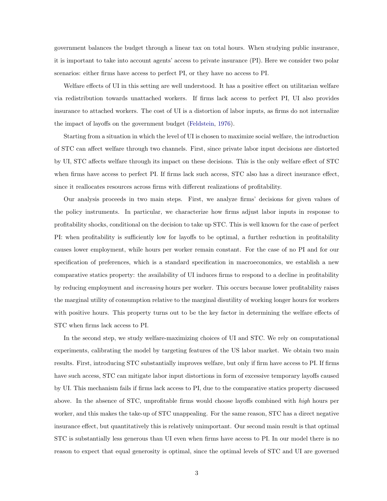government balances the budget through a linear tax on total hours. When studying public insurance, it is important to take into account agents' access to private insurance (PI). Here we consider two polar scenarios: either firms have access to perfect PI, or they have no access to PI.

Welfare effects of UI in this setting are well understood. It has a positive effect on utilitarian welfare via redistribution towards unattached workers. If firms lack access to perfect PI, UI also provides insurance to attached workers. The cost of UI is a distortion of labor inputs, as firms do not internalize the impact of layoffs on the government budget([Feldstein,](#page-54-4) [1976\)](#page-54-4).

Starting from a situation in which the level of UI is chosen to maximize social welfare, the introduction of STC can affect welfare through two channels. First, since private labor input decisions are distorted by UI, STC affects welfare through its impact on these decisions. This is the only welfare effect of STC when firms have access to perfect PI. If firms lack such access, STC also has a direct insurance effect, since it reallocates resources across firms with different realizations of profitability.

Our analysis proceeds in two main steps. First, we analyze firms' decisions for given values of the policy instruments. In particular, we characterize how firms adjust labor inputs in response to profitability shocks, conditional on the decision to take up STC. This is well known for the case of perfect PI: when profitability is sufficiently low for layoffs to be optimal, a further reduction in profitability causes lower employment, while hours per worker remain constant. For the case of no PI and for our specification of preferences, which is a standard specification in macroeconomics, we establish a new comparative statics property: the availability of UI induces firms to respond to a decline in profitability by reducing employment and *increasing* hours per worker. This occurs because lower profitability raises the marginal utility of consumption relative to the marginal disutility of working longer hours for workers with positive hours. This property turns out to be the key factor in determining the welfare effects of STC when firms lack access to PI.

In the second step, we study welfare-maximizing choices of UI and STC. We rely on computational experiments, calibrating the model by targeting features of the US labor market. We obtain two main results. First, introducing STC substantially improves welfare, but only if firm have access to PI. If firms have such access, STC can mitigate labor input distortions in form of excessive temporary layoffs caused by UI. This mechanism fails if firms lack access to PI, due to the comparative statics property discussed above. In the absence of STC, unprofitable firms would choose layoffs combined with *high* hours per worker, and this makes the take-up of STC unappealing. For the same reason, STC has a direct negative insurance effect, but quantitatively this is relatively unimportant. Our second main result is that optimal STC is substantially less generous than UI even when firms have access to PI. In our model there is no reason to expect that equal generosity is optimal, since the optimal levels of STC and UI are governed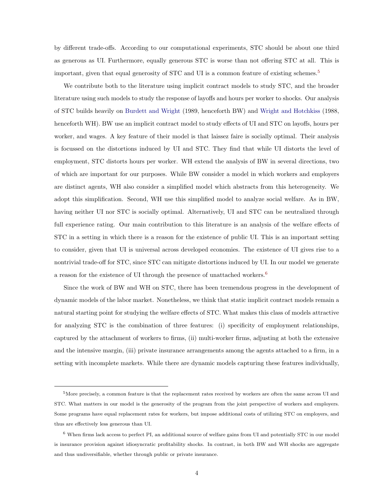by different trade-offs. According to our computational experiments, STC should be about one third as generous as UI. Furthermore, equally generous STC is worse than not offering STC at all. This is important, given that equal generosity of STC and UI is a common feature of existing schemes.5

We contribute both to the literature using implicit contract models to study STC, and the broader literature using such models to study the response of layoffs and hours per worker to shocks. Our analysis of STC builds heavily on [Burdett and Wright](#page-54-5) (1989, henceforth BW) and [Wright and Hotchkiss](#page-55-2) (1988, henceforth WH). BW use an implicit contract model to study effects of UI and STC on layoffs, hours per worker, and wages. A key feature of their model is that laissez faire is socially optimal. Their analysis is focussed on the distortions induced by UI and STC. They find that while UI distorts the level of employment, STC distorts hours per worker. WH extend the analysis of BW in several directions, two of which are important for our purposes. While BW consider a model in which workers and employers are distinct agents, WH also consider a simplified model which abstracts from this heterogeneity. We adopt this simplification. Second, WH use this simplified model to analyze social welfare. As in BW, having neither UI nor STC is socially optimal. Alternatively, UI and STC can be neutralized through full experience rating. Our main contribution to this literature is an analysis of the welfare effects of STC in a setting in which there is a reason for the existence of public UI. This is an important setting to consider, given that UI is universal across developed economies. The existence of UI gives rise to a nontrivial trade-off for STC, since STC can mitigate distortions induced by UI. In our model we generate a reason for the existence of UI through the presence of unattached workers.6

Since the work of BW and WH on STC, there has been tremendous progress in the development of dynamic models of the labor market. Nonetheless, we think that static implicit contract models remain a natural starting point for studying the welfare effects of STC. What makes this class of models attractive for analyzing STC is the combination of three features: (i) specificity of employment relationships, captured by the attachment of workers to firms, (ii) multi-worker firms, adjusting at both the extensive and the intensive margin, (iii) private insurance arrangements among the agents attached to a firm, in a setting with incomplete markets. While there are dynamic models capturing these features individually,

<sup>5</sup>More precisely, a common feature is that the replacement rates received by workers are often the same across UI and STC. What matters in our model is the generosity of the program from the joint perspective of workers and employers. Some programs have equal replacement rates for workers, but impose additional costs of utilizing STC on employers, and thus are effectively less generous than UI.

<sup>6</sup> When firms lack access to perfect PI, an additional source of welfare gains from UI and potentially STC in our model is insurance provision against idiosyncratic profitability shocks. In contrast, in both BW and WH shocks are aggregate and thus undiversifiable, whether through public or private insurance.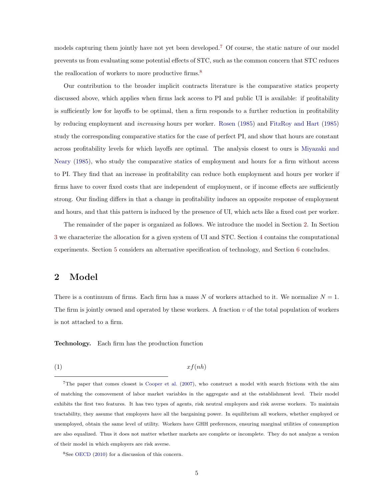models capturing them jointly have not yet been developed.<sup>7</sup> Of course, the static nature of our model prevents us from evaluating some potential effects of STC, such as the common concern that STC reduces the reallocation of workers to more productive firms.<sup>8</sup>

Our contribution to the broader implicit contracts literature is the comparative statics property discussed above, which applies when firms lack access to PI and public UI is available: if profitability is sufficiently low for layoffs to be optimal, then a firm responds to a further reduction in profitability by reducing employment and *increasing* hours per worker. [Rosen](#page-55-3) ([1985\)](#page-55-3) and [FitzRoy and Hart](#page-54-6) ([1985\)](#page-54-6) study the corresponding comparative statics for the case of perfect PI, and show that hours are constant across profitability levels for which layoffs are optimal. The analysis closest to ours is [Miyazaki and](#page-55-4) [Neary](#page-55-4) ([1985\)](#page-55-4), who study the comparative statics of employment and hours for a firm without access to PI. They find that an increase in profitability can reduce both employment and hours per worker if firms have to cover fixed costs that are independent of employment, or if income effects are sufficiently strong. Our finding differs in that a change in profitability induces an opposite response of employment and hours, and that this pattern is induced by the presence of UI, which acts like a fixed cost per worker.

The remainder of the paper is organized as follows. We introduce the model in Section [2.](#page-6-0) In Section [3](#page-11-0) we characterize the allocation for a given system of UI and STC. Section [4](#page-19-0) contains the computational experiments. Section [5](#page-31-0) considers an alternative specification of technology, and Section [6](#page-37-0) concludes.

### <span id="page-6-0"></span>**2 Model**

There is a continuum of firms. Each firm has a mass N of workers attached to it. We normalize  $N = 1$ . The firm is jointly owned and operated by these workers. A fraction *υ* of the total population of workers is not attached to a firm.

<span id="page-6-1"></span>**Technology.** Each firm has the production function

 $x f(nh)$ 

<sup>7</sup>The paper that comes closest is [Cooper et al.](#page-54-7) ([2007\)](#page-54-7), who construct a model with search frictions with the aim of matching the comovement of labor market variables in the aggregate and at the establishment level. Their model exhibits the first two features. It has two types of agents, risk neutral employers and risk averse workers. To maintain tractability, they assume that employers have all the bargaining power. In equilibrium all workers, whether employed or unemployed, obtain the same level of utility. Workers have GHH preferences, ensuring marginal utilities of consumption are also equalized. Thus it does not matter whether markets are complete or incomplete. They do not analyze a version of their model in which employers are risk averse.

<sup>8</sup>See [OECD](#page-55-5) ([2010\)](#page-55-5) for a discussion of this concern.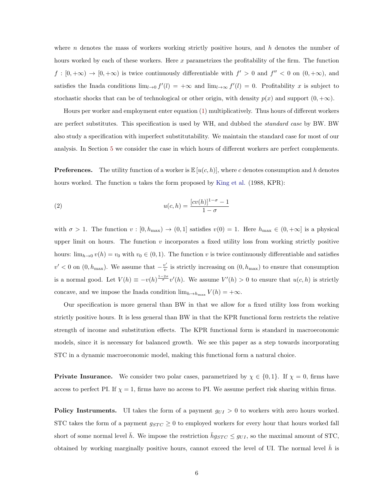where *n* denotes the mass of workers working strictly positive hours, and *h* denotes the number of hours worked by each of these workers. Here *x* parametrizes the profitability of the firm. The function  $f : [0, +\infty) \to [0, +\infty)$  is twice continuously differentiable with  $f' > 0$  and  $f'' < 0$  on  $(0, +\infty)$ , and satisfies the Inada conditions  $\lim_{l\to 0} f'(l) = +\infty$  and  $\lim_{l\to\infty} f'(l) = 0$ . Profitability *x* is subject to stochastic shocks that can be of technological or other origin, with density  $p(x)$  and support  $(0, +\infty)$ .

Hours per worker and employment enter equation([1](#page-6-1)) multiplicatively. Thus hours of different workers are perfect substitutes. This specification is used by WH, and dubbed the *standard case* by BW. BW also study a specification with imperfect substitutability. We maintain the standard case for most of our analysis. In Section [5](#page-31-0) we consider the case in which hours of different workers are perfect complements.

<span id="page-7-0"></span>**Preferences.** The utility function of a worker is  $\mathbb{E}[u(c, h)]$ , where *c* denotes consumption and *h* denotes hours worked. The function *u* takes the form proposed by [King et al.](#page-55-6) (1988, KPR):

(2) 
$$
u(c,h) = \frac{[cv(h)]^{1-\sigma} - 1}{1-\sigma}
$$

with  $\sigma > 1$ . The function  $v : [0, h_{\text{max}}) \to (0, 1]$  satisfies  $v(0) = 1$ . Here  $h_{\text{max}} \in (0, +\infty]$  is a physical upper limit on hours. The function *v* incorporates a fixed utility loss from working strictly positive hours:  $\lim_{h\to 0} v(h) = v_0$  with  $v_0 \in (0,1)$ . The function *v* is twice continuously differentiable and satisfies  $v'$  < 0 on (0*, h*<sub>max</sub>). We assume that  $-\frac{v'}{v}$  is strictly increasing on (0*, h*<sub>max</sub>) to ensure that consumption is a normal good. Let  $V(h) \equiv -v(h)^{\frac{1-2\sigma}{\sigma}}v'(h)$ . We assume  $V'(h) > 0$  to ensure that  $u(c, h)$  is strictly concave, and we impose the Inada condition  $\lim_{h \to h_{\text{max}}} V(h) = +\infty$ .

Our specification is more general than BW in that we allow for a fixed utility loss from working strictly positive hours. It is less general than BW in that the KPR functional form restricts the relative strength of income and substitution effects. The KPR functional form is standard in macroeconomic models, since it is necessary for balanced growth. We see this paper as a step towards incorporating STC in a dynamic macroeconomic model, making this functional form a natural choice.

**Private Insurance.** We consider two polar cases, parametrized by  $\chi \in \{0, 1\}$ . If  $\chi = 0$ , firms have access to perfect PI. If  $\chi = 1$ , firms have no access to PI. We assume perfect risk sharing within firms.

**Policy Instruments.** UI takes the form of a payment  $g_{UI} > 0$  to workers with zero hours worked. STC takes the form of a payment  $g_{STC} \geq 0$  to employed workers for every hour that hours worked fall short of some normal level  $\bar{h}$ . We impose the restriction  $\bar{h}g_{STC} \leq g_{UI}$ , so the maximal amount of STC, obtained by working marginally positive hours, cannot exceed the level of UI. The normal level  $h$  is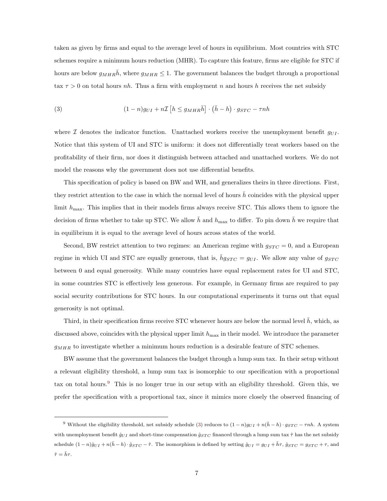taken as given by firms and equal to the average level of hours in equilibrium. Most countries with STC schemes require a minimum hours reduction (MHR). To capture this feature, firms are eligible for STC if hours are below  $g_{MHR}$ *h*, where  $g_{MHR} \leq 1$ . The government balances the budget through a proportional tax *τ >* 0 on total hours *nh*. Thus a firm with employment *n* and hours *h* receives the net subsidy

<span id="page-8-0"></span>(3) 
$$
(1-n)g_{UI} + n\mathcal{I}\left[h \leq g_{MHR}\bar{h}\right] \cdot \left(\bar{h} - h\right) \cdot g_{STC} - \tau nh
$$

where  $I$  denotes the indicator function. Unattached workers receive the unemployment benefit  $g_{UI}$ . Notice that this system of UI and STC is uniform: it does not differentially treat workers based on the profitability of their firm, nor does it distinguish between attached and unattached workers. We do not model the reasons why the government does not use differential benefits.

This specification of policy is based on BW and WH, and generalizes theirs in three directions. First, they restrict attention to the case in which the normal level of hours  $\bar{h}$  coincides with the physical upper limit  $h_{\text{max}}$ . This implies that in their models firms always receive STC. This allows them to ignore the decision of firms whether to take up STC. We allow  $\bar{h}$  and  $h_{\text{max}}$  to differ. To pin down  $\bar{h}$  we require that in equilibrium it is equal to the average level of hours across states of the world.

Second, BW restrict attention to two regimes: an American regime with  $g_{STC} = 0$ , and a European regime in which UI and STC are equally generous, that is,  $\bar{h}g_{STC} = g_{UI}$ . We allow any value of  $g_{STC}$ between 0 and equal generosity. While many countries have equal replacement rates for UI and STC, in some countries STC is effectively less generous. For example, in Germany firms are required to pay social security contributions for STC hours. In our computational experiments it turns out that equal generosity is not optimal.

Third, in their specification firms receive STC whenever hours are below the normal level  $h$ , which, as discussed above, coincides with the physical upper limit  $h_{\text{max}}$  in their model. We introduce the parameter *gMHR* to investigate whether a minimum hours reduction is a desirable feature of STC schemes.

BW assume that the government balances the budget through a lump sum tax. In their setup without a relevant eligibility threshold, a lump sum tax is isomorphic to our specification with a proportional tax on total hours.9 This is no longer true in our setup with an eligibility threshold. Given this, we prefer the specification with a proportional tax, since it mimics more closely the observed financing of

<sup>&</sup>lt;sup>9</sup> Without the eligibility threshold, net subsidy schedule [\(3\)](#page-8-0) reduces to  $(1 - n)g_{UI} + n(\bar{h} - h) \cdot g_{STC} - \tau nh$ . A system with unemployment benefit  $\hat{g}_{UI}$  and short-time compensation  $\hat{g}_{STC}$  financed through a lump sum tax  $\hat{\tau}$  has the net subsidy schedule  $(1-n)\hat{g}_{UI} + n(\bar{h}-h) \cdot \hat{g}_{STC} - \hat{\tau}$ . The isomorphism is defined by setting  $\hat{g}_{UI} = g_{UI} + \bar{h}\tau$ ,  $\hat{g}_{STC} = g_{STC} + \tau$ , and  $\hat{\tau} = \bar{h}\tau$ .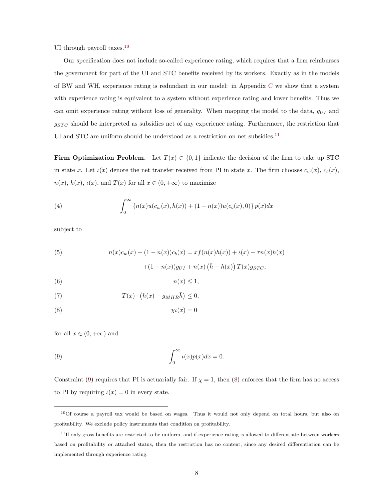UI through payroll taxes.<sup>10</sup>

Our specification does not include so-called experience rating, which requires that a firm reimburses the government for part of the UI and STC benefits received by its workers. Exactly as in the models of BW and WH, experience rating is redundant in our model: in Appendix [C](#page-53-0) we show that a system with experience rating is equivalent to a system without experience rating and lower benefits. Thus we can omit experience rating without loss of generality. When mapping the model to the data, *gU I* and *gST C* should be interpreted as subsidies net of any experience rating. Furthermore, the restriction that UI and STC are uniform should be understood as a restriction on net subsidies.  $^{\rm 11}$ 

**Firm Optimization Problem.** Let  $T(x) \in \{0, 1\}$  indicate the decision of the firm to take up STC in state *x*. Let  $\iota(x)$  denote the net transfer received from PI in state *x*. The firm chooses  $c_w(x)$ ,  $c_b(x)$ ,  $n(x)$ ,  $h(x)$ ,  $\iota(x)$ , and  $T(x)$  for all  $x \in (0, +\infty)$  to maximize

(4) 
$$
\int_0^\infty \{n(x)u(c_w(x),h(x)) + (1-n(x))u(c_b(x),0)\} p(x) dx
$$

subject to

<span id="page-9-3"></span>(5) 
$$
n(x)c_w(x) + (1 - n(x))c_b(x) = xf(n(x)h(x)) + \iota(x) - \tau n(x)h(x) + (1 - n(x))g_{UI} + n(x(\bar{h} - h(x))T(x)g_{STC},
$$

<span id="page-9-4"></span><span id="page-9-2"></span>(6)  $n(x) \leq 1$ ,

<span id="page-9-1"></span>(7) 
$$
T(x) \cdot \left(h(x) - g_{MHR}\overline{h}\right) \leq 0,
$$

(8) *χι*(*x*) = 0

<span id="page-9-0"></span>for all  $x \in (0, +\infty)$  and

(9) 
$$
\int_0^\infty t(x)p(x)dx = 0.
$$

Constraint [\(9](#page-9-0))requires that PI is actuarially fair. If  $\chi = 1$ , then ([8\)](#page-9-1) enforces that the firm has no access to PI by requiring  $\iota(x) = 0$  in every state.

<sup>10</sup>Of course a payroll tax would be based on wages. Thus it would not only depend on total hours, but also on profitability. We exclude policy instruments that condition on profitability.

 $11$ If only gross benefits are restricted to be uniform, and if experience rating is allowed to differentiate between workers based on profitability or attached status, then the restriction has no content, since any desired differentiation can be implemented through experience rating.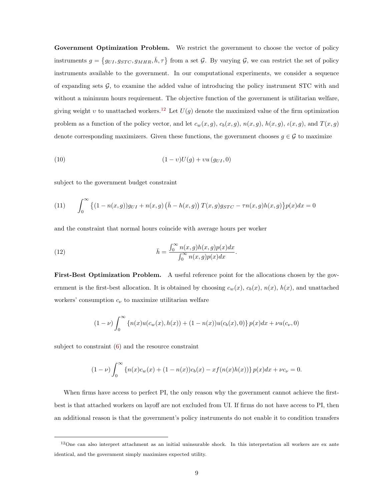Government Optimization Problem. We restrict the government to choose the vector of policy instruments  $g = \{g_{UI}, g_{STC}, g_{MHR}, \bar{h}, \tau\}$  from a set *G*. By varying *G*, we can restrict the set of policy instruments available to the government. In our computational experiments, we consider a sequence of expanding sets *G*, to examine the added value of introducing the policy instrument STC with and without a minimum hours requirement. The objective function of the government is utilitarian welfare, giving weight *v* to unattached workers.<sup>12</sup> Let  $U(g)$  denote the maximized value of the firm optimization problem as a function of the policy vector, and let  $c_w(x, g)$ ,  $c_b(x, g)$ ,  $n(x, g)$ ,  $h(x, g)$ ,  $\iota(x, g)$ , and  $T(x, g)$ denote corresponding maximizers. Given these functions, the government chooses  $g \in \mathcal{G}$  to maximize

(10) 
$$
(1-v)U(g) + vu(g_{UI}, 0)
$$

subject to the government budget constraint

(11) 
$$
\int_0^{\infty} \left\{ (1 - n(x, g))g_{UI} + n(x, g) \left( \bar{h} - h(x, g) \right) T(x, g) g_{STC} - \tau n(x, g) h(x, g) \right\} p(x) dx = 0
$$

and the constraint that normal hours coincide with average hours per worker

(12) 
$$
\bar{h} = \frac{\int_0^\infty n(x, g)h(x, g)p(x)dx}{\int_0^\infty n(x, g)p(x)dx}
$$

**First-Best Optimization Problem.** A useful reference point for the allocations chosen by the government is the first-best allocation. It is obtained by choosing  $c_w(x)$ ,  $c_b(x)$ ,  $n(x)$ ,  $h(x)$ , and unattached workers' consumption  $c_{\nu}$  to maximize utilitarian welfare

*.*

$$
(1 - \nu) \int_0^{\infty} \left\{ n(x)u(c_w(x), h(x)) + (1 - n(x))u(c_b(x), 0) \right\} p(x) dx + \nu u(c_{\nu}, 0)
$$

subject to constraint [\(6](#page-9-2)) and the resource constraint

$$
(1 - \nu) \int_0^\infty \left\{ n(x)c_w(x) + (1 - n(x))c_b(x) - xf(n(x)h(x)) \right\} p(x)dx + \nu c_\nu = 0.
$$

When firms have access to perfect PI, the only reason why the government cannot achieve the firstbest is that attached workers on layoff are not excluded from UI. If firms do not have access to PI, then an additional reason is that the government's policy instruments do not enable it to condition transfers

 $12$ One can also interpret attachment as an initial uninsurable shock. In this interpretation all workers are ex ante identical, and the government simply maximizes expected utility.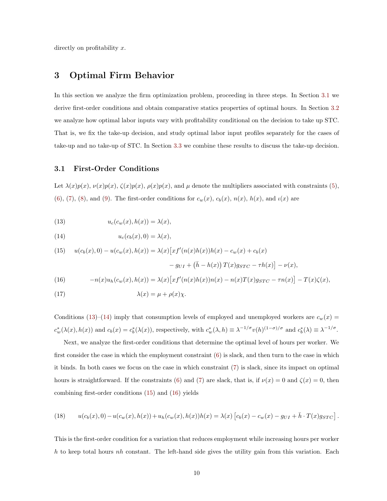directly on profitability *x*.

### <span id="page-11-0"></span>**3 Optimal Firm Behavior**

In this section we analyze the firm optimization problem, proceeding in three steps. In Section [3.1](#page-11-1) we derive first-order conditions and obtain comparative statics properties of optimal hours. In Section [3.2](#page-13-0) we analyze how optimal labor inputs vary with profitability conditional on the decision to take up STC. That is, we fix the take-up decision, and study optimal labor input profiles separately for the cases of take-up and no take-up of STC. In Section [3.3](#page-18-0) we combine these results to discuss the take-up decision.

### <span id="page-11-1"></span>**3.1 First-Order Conditions**

Let $\lambda(x)p(x)$ ,  $\nu(x)p(x)$ ,  $\zeta(x)p(x)$ ,  $\rho(x)p(x)$ , and  $\mu$  denote the multipliers associated with constraints ([5\)](#page-9-3), ([6\)](#page-9-2),([7\)](#page-9-4), [\(8](#page-9-1)), and ([9\)](#page-9-0). The first-order conditions for  $c_w(x)$ ,  $c_b(x)$ ,  $n(x)$ ,  $h(x)$ , and  $\iota(x)$  are

<span id="page-11-3"></span><span id="page-11-2"></span>(13) 
$$
u_c(c_w(x), h(x)) = \lambda(x),
$$

<span id="page-11-4"></span>(14) 
$$
u_c(c_b(x),0) = \lambda(x),
$$

(15) 
$$
u(c_b(x), 0) - u(c_w(x), h(x)) = \lambda(x) \left[ xf'(n(x)h(x))h(x) - c_w(x) + c_b(x) - gy_I + (\bar{h} - h(x)) T(x)g_{STC} - \tau h(x) \right] - \nu(x),
$$

<span id="page-11-6"></span><span id="page-11-5"></span>(16) 
$$
-n(x)u_h(c_w(x),h(x)) = \lambda(x)[xf'(n(x)h(x))n(x) - n(x)T(x)g_{STC} - \tau n(x)] - T(x)\zeta(x),
$$

(17) 
$$
\lambda(x) = \mu + \rho(x)\chi.
$$

Conditions [\(13](#page-11-2))–[\(14](#page-11-3)) imply that consumption levels of employed and unemployed workers are  $c_w(x)$  $c_w^*(\lambda(x), h(x))$  and  $c_b(x) = c_b^*(\lambda(x))$ , respectively, with  $c_w^*(\lambda, h) \equiv \lambda^{-1/\sigma} v(h)^{(1-\sigma)/\sigma}$  and  $c_b^*(\lambda) \equiv \lambda^{-1/\sigma}$ .

Next, we analyze the first-order conditions that determine the optimal level of hours per worker. We first consider the case in which the employment constraint([6\)](#page-9-2) is slack, and then turn to the case in which it binds. In both cases we focus on the case in which constraint [\(7](#page-9-4)) is slack, since its impact on optimal hoursis straightforward. If the constraints ([6](#page-9-2)) and ([7\)](#page-9-4) are slack, that is, if  $\nu(x) = 0$  and  $\zeta(x) = 0$ , then combining first-order conditions([15\)](#page-11-4) and [\(16](#page-11-5)) yields

(18) 
$$
u(c_b(x), 0) - u(c_w(x), h(x)) + u_h(c_w(x), h(x))h(x) = \lambda(x) [c_b(x) - c_w(x) - g_{UI} + \bar{h} \cdot T(x)g_{STC}].
$$

This is the first-order condition for a variation that reduces employment while increasing hours per worker *h* to keep total hours *nh* constant. The left-hand side gives the utility gain from this variation. Each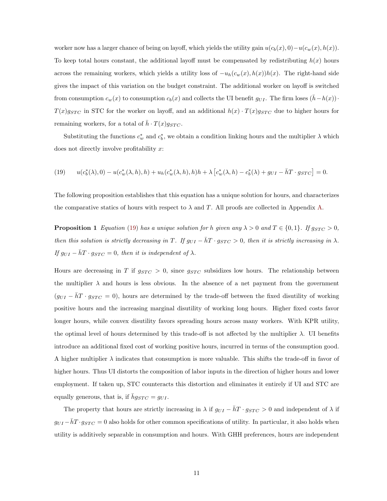worker now has a larger chance of being on layoff, which yields the utility gain  $u(c_b(x), 0) - u(c_w(x), h(x))$ . To keep total hours constant, the additional layoff must be compensated by redistributing  $h(x)$  hours across the remaining workers, which yields a utility loss of  $-\nu_h(c_w(x), h(x))h(x)$ . The right-hand side gives the impact of this variation on the budget constraint. The additional worker on layoff is switched from consumption  $c_w(x)$  to consumption  $c_b(x)$  and collects the UI benefit  $g_{UI}$ . The firm loses  $(\bar{h} - h(x))$ *·*  $T(x)g_{STC}$  in STC for the worker on layoff, and an additional  $h(x) \cdot T(x)g_{STC}$  due to higher hours for remaining workers, for a total of  $\bar{h} \cdot T(x) q_{STC}$ .

<span id="page-12-0"></span>Substituting the functions  $c^*_{w}$  and  $c^*_{b}$ , we obtain a condition linking hours and the multiplier  $\lambda$  which does not directly involve profitability *x*:

$$
(19) \qquad u(c_b^*(\lambda),0)-u(c_w^*(\lambda,h),h)+u_h(c_w^*(\lambda,h),h)h+\lambda\left[c_w^*(\lambda,h)-c_b^*(\lambda)+g_{UI}-\bar{h}T\cdot g_{STC}\right]=0.
$$

<span id="page-12-1"></span>The following proposition establishes that this equation has a unique solution for hours, and characterizes the comparative statics of hours with respect to  $\lambda$  and  $T$ . All proofs are collected in Appendix [A.](#page-38-0)

**Proposition 1** *Equation* [\(19](#page-12-0)) *has a unique solution for h given any*  $\lambda > 0$  *and*  $T \in \{0, 1\}$ *. If*  $g_{STC} > 0$ *, then this solution is strictly decreasing in T. If*  $g_{UI} - \bar{h}T \cdot g_{STC} > 0$ , then it is strictly increasing in  $\lambda$ *. If*  $g_{UI} - \bar{h}T \cdot g_{STC} = 0$ , then it is independent of  $\lambda$ .

Hours are decreasing in *T* if  $g_{STC} > 0$ , since  $g_{STC}$  subsidizes low hours. The relationship between the multiplier  $\lambda$  and hours is less obvious. In the absence of a net payment from the government  $(g_{UI} - \bar{h}T \cdot g_{STC} = 0)$ , hours are determined by the trade-off between the fixed disutility of working positive hours and the increasing marginal disutility of working long hours. Higher fixed costs favor longer hours, while convex disutility favors spreading hours across many workers. With KPR utility, the optimal level of hours determined by this trade-off is not affected by the multiplier  $\lambda$ . UI benefits introduce an additional fixed cost of working positive hours, incurred in terms of the consumption good. A higher multiplier  $\lambda$  indicates that consumption is more valuable. This shifts the trade-off in favor of higher hours. Thus UI distorts the composition of labor inputs in the direction of higher hours and lower employment. If taken up, STC counteracts this distortion and eliminates it entirely if UI and STC are equally generous, that is, if  $\bar{h}g_{STC} = g_{UI}$ .

The property that hours are strictly increasing in  $\lambda$  if  $g_{UI} - hT \cdot g_{STC} > 0$  and independent of  $\lambda$  if  $g_{UI} - hT \cdot g_{STC} = 0$  also holds for other common specifications of utility. In particular, it also holds when utility is additively separable in consumption and hours. With GHH preferences, hours are independent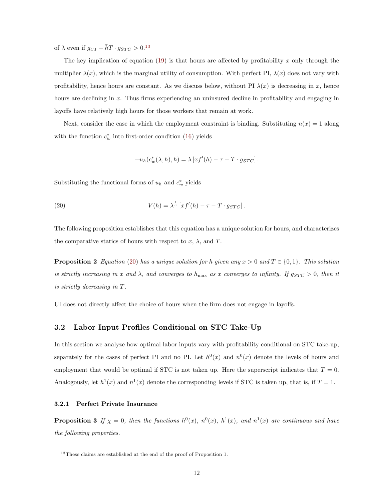of  $\lambda$  even if  $g_{UI} - \bar{h}T \cdot g_{STC} > 0.13$ 

The key implication of equation([19\)](#page-12-0) is that hours are affected by profitability *x* only through the multiplier  $\lambda(x)$ , which is the marginal utility of consumption. With perfect PI,  $\lambda(x)$  does not vary with profitability, hence hours are constant. As we discuss below, without PI  $\lambda(x)$  is decreasing in *x*, hence hours are declining in x. Thus firms experiencing an uninsured decline in profitability and engaging in layoffs have relatively high hours for those workers that remain at work.

Next, consider the case in which the employment constraint is binding. Substituting  $n(x) = 1$  along with the function  $c_w^*$  into first-order condition [\(16](#page-11-5)) yields

<span id="page-13-2"></span><span id="page-13-1"></span>
$$
-u_h(c_w^*(\lambda, h), h) = \lambda [xf'(h) - \tau - T \cdot g_{STC}].
$$

Substituting the functional forms of  $u_h$  and  $c_w^*$  yields

(20) 
$$
V(h) = \lambda^{\frac{1}{\sigma}} \left[ x f'(h) - \tau - T \cdot g_{STC} \right].
$$

The following proposition establishes that this equation has a unique solution for hours, and characterizes the comparative statics of hours with respect to  $x$ ,  $\lambda$ , and  $T$ .

**Proposition 2** *Equation* ([20\)](#page-13-1) *has a unique solution for h given any*  $x > 0$  *and*  $T \in \{0, 1\}$ *. This solution is strictly increasing in x and*  $\lambda$ *, and converges to*  $h_{\text{max}}$  *as x converges to infinity. If*  $g_{STC} > 0$ *, then it is strictly decreasing in T.*

UI does not directly affect the choice of hours when the firm does not engage in layoffs.

### <span id="page-13-0"></span>**3.2 Labor Input Profiles Conditional on STC Take-Up**

In this section we analyze how optimal labor inputs vary with profitability conditional on STC take-up, separately for the cases of perfect PI and no PI. Let  $h^0(x)$  and  $n^0(x)$  denote the levels of hours and employment that would be optimal if STC is not taken up. Here the superscript indicates that  $T = 0$ . Analogously, let  $h^1(x)$  and  $n^1(x)$  denote the corresponding levels if STC is taken up, that is, if  $T = 1$ .

#### <span id="page-13-4"></span>**3.2.1 Perfect Private Insurance**

<span id="page-13-3"></span>**Proposition 3** If  $\chi = 0$ , then the functions  $h^0(x)$ ,  $n^0(x)$ ,  $h^1(x)$ , and  $n^1(x)$  are continuous and have *the following properties.*

<sup>&</sup>lt;sup>13</sup>These claims are established at the end of the proof of Proposition 1.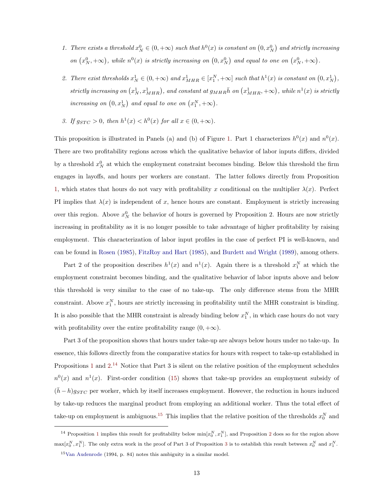- 1. There exists a threshold  $x_N^0 \in (0, +\infty)$  such that  $h^0(x)$  is constant on  $(0, x_N^0)$  and strictly increasing on  $(x_N^0, +\infty)$ , while  $n^0(x)$  is strictly increasing on  $(0, x_N^0)$  and equal to one on  $(x_N^0, +\infty)$ .
- 2. There exist thresholds  $x_N^1 \in (0, +\infty)$  and  $x_{MHR}^1 \in [x_1^N, +\infty]$  such that  $h^1(x)$  is constant on  $(0, x_N^1)$ , strictly increasing on  $(x_N^1, x_{MHR}^1)$ , and constant at  $g_{MHR}$   $\bar{h}$  on  $(x_{MHR}^1, +\infty)$ , while  $n^1(x)$  is strictly *increasing on*  $(0, x_N^1)$  *and equal to one on*  $(x_1^N, +\infty)$ *.*
- *3. If*  $g_{STC} > 0$ *, then*  $h^1(x) < h^0(x)$  *for all*  $x \in (0, +\infty)$ *.*

This proposition is illustrated in Panels (a) and (b) of Figure [1](#page-15-0). Part 1 characterizes  $h^0(x)$  and  $n^0(x)$ . There are two profitability regions across which the qualitative behavior of labor inputs differs, divided by a threshold  $x_N^0$  at which the employment constraint becomes binding. Below this threshold the firm engages in layoffs, and hours per workers are constant. The latter follows directly from Proposition [1,](#page-12-1) which states that hours do not vary with profitability x conditional on the multiplier  $\lambda(x)$ . Perfect PI implies that  $\lambda(x)$  is independent of *x*, hence hours are constant. Employment is strictly increasing over this region. Above  $x_N^0$  the behavior of hours is governed by Proposition 2. Hours are now strictly increasing in profitability as it is no longer possible to take advantage of higher profitability by raising employment. This characterization of labor input profiles in the case of perfect PI is well-known, and can be found in [Rosen](#page-55-3) [\(1985](#page-55-3)), [FitzRoy and Hart](#page-54-6) [\(1985](#page-54-6)), and [Burdett and Wright](#page-54-5) ([1989\)](#page-54-5), among others.

Part 2 of the proposition describes  $h^1(x)$  and  $n^1(x)$ . Again there is a threshold  $x_1^N$  at which the employment constraint becomes binding, and the qualitative behavior of labor inputs above and below this threshold is very similar to the case of no take-up. The only difference stems from the MHR constraint. Above  $x_1^N$ , hours are strictly increasing in profitability until the MHR constraint is binding. It is also possible that the MHR constraint is already binding below  $x_1^N$ , in which case hours do not vary with profitability over the entire profitability range  $(0, +\infty)$ .

Part 3 of the proposition shows that hours under take-up are always below hours under no take-up. In essence, this follows directly from the comparative statics for hours with respect to take-up established in Propositions [1](#page-12-1) and  $2^{14}$  $2^{14}$  Notice that Part 3 is silent on the relative position of the employment schedules  $n^0(x)$  and  $n^1(x)$ . First-order condition [\(15](#page-11-4)) shows that take-up provides an employment subsidy of  $(\bar{h}-h)g_{STC}$  per worker, which by itself increases employment. However, the reduction in hours induced by take-up reduces the marginal product from employing an additional worker. Thus the total effect of take-up on employment is ambiguous.<sup>15</sup> This implies that the relative position of the thresholds  $x_0^N$  and

<sup>&</sup>lt;sup>[1](#page-12-1)4</sup> Proposition 1 implies this result for profitability below  $\min[x_0^N, x_1^N]$ , and Proposition [2](#page-13-2) does so for the region above  $\max[x_0^N, x_1^N]$ . The only extra work in the proof of Part [3](#page-13-3) of Proposition 3 is to establish this result between  $x_0^N$  and  $x_1^N$ .

<sup>15</sup>[Van Audenrode](#page-55-7) (1994, p. 84) notes this ambiguity in a similar model.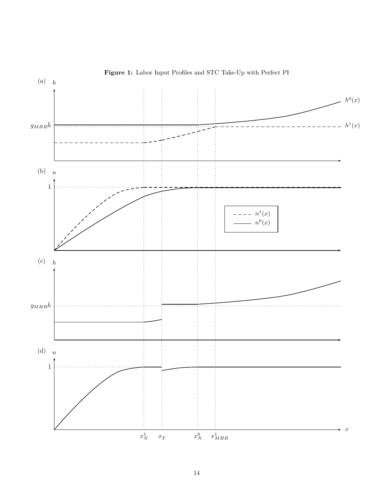

<span id="page-15-0"></span>**Figure 1:** Labor Input Profiles and STC Take-Up with Perfect PI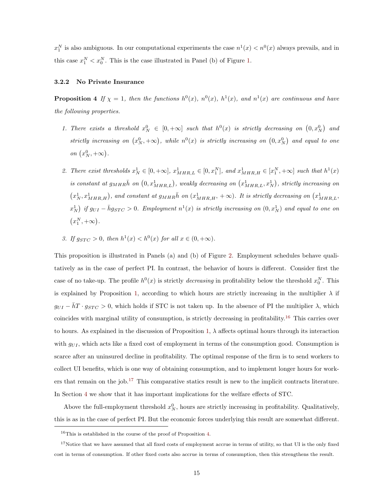$x_1^N$  is also ambiguous. In our computational experiments the case  $n^1(x) < n^0(x)$  always prevails, and in this case  $x_1^N < x_0^N$ . This is the case illustrated in Panel (b) of Figure [1.](#page-15-0)

#### <span id="page-16-1"></span>**3.2.2 No Private Insurance**

<span id="page-16-0"></span>**Proposition 4** If  $\chi = 1$ , then the functions  $h^0(x)$ ,  $n^0(x)$ ,  $h^1(x)$ , and  $n^1(x)$  are continuous and have *the following properties.*

- 1. There exists a threshold  $x_N^0 \in [0, +\infty]$  such that  $h^0(x)$  is strictly decreasing on  $(0, x_N^0)$  and strictly increasing on  $(x_N^0, +\infty)$ , while  $n^0(x)$  is strictly increasing on  $(0, x_N^0)$  and equal to one *on*  $(x_N^0, +\infty)$ .
- 2. There exist thresholds  $x_N^1 \in [0, +\infty]$ ,  $x_{MHR,L}^1 \in [0, x_1^N]$ , and  $x_{MHR,H}^1 \in [x_1^N, +\infty]$  such that  $h^1(x)$ *is constant at*  $g_{MHR}\bar{h}$  on  $(0, x_{MHR,L}^1)$ , weakly decreasing on  $(x_{MHR,L}^1, x_N^1)$ , strictly increasing on  $(x_N^1, x_{MHR,H}^1)$ , and constant at  $g_{MHR}$  on  $(x_{MHR,H}^1, +\infty)$ . It is strictly decreasing on  $(x_{MHR,L}^1,$  $x_N^1$  *if*  $g_{UI} - \bar{h}g_{STC} > 0$ . Employment  $n^1(x)$  *is strictly increasing on*  $(0, x_N^1)$  *and equal to one on*  $(x_1^N, +\infty).$
- <span id="page-16-2"></span>*3. If*  $g_{STC} > 0$ *, then*  $h^1(x) < h^0(x)$  *for all*  $x \in (0, +\infty)$ *.*

This proposition is illustrated in Panels (a) and (b) of Figure [2.](#page-17-0) Employment schedules behave qualitatively as in the case of perfect PI. In contrast, the behavior of hours is different. Consider first the case of no take-up. The profile  $h^0(x)$  is strictly *decreasing* in profitability below the threshold  $x_0^N$ . This is explained by Proposition [1](#page-12-1), according to which hours are strictly increasing in the multiplier  $\lambda$  if  $g_{UI} - \bar{h}T \cdot g_{STC} > 0$ , which holds if STC is not taken up. In the absence of PI the multiplier  $\lambda$ , which coincides with marginal utility of consumption, is strictly decreasing in profitability.16 This carries over to hours. As explained in the discussion of Proposition [1,](#page-12-1)  $\lambda$  affects optimal hours through its interaction with  $g_{UI}$ , which acts like a fixed cost of employment in terms of the consumption good. Consumption is scarce after an uninsured decline in profitability. The optimal response of the firm is to send workers to collect UI benefits, which is one way of obtaining consumption, and to implement longer hours for workers that remain on the job.17 This comparative statics result is new to the implicit contracts literature. In Section [4](#page-19-0) we show that it has important implications for the welfare effects of STC.

Above the full-employment threshold  $x_N^0$ , hours are strictly increasing in profitability. Qualitatively, this is as in the case of perfect PI. But the economic forces underlying this result are somewhat different.

<sup>16</sup>This is established in the course of the proof of Proposition [4](#page-16-0).

 $17$ Notice that we have assumed that all fixed costs of employment accrue in terms of utility, so that UI is the only fixed cost in terms of consumption. If other fixed costs also accrue in terms of consumption, then this strengthens the result.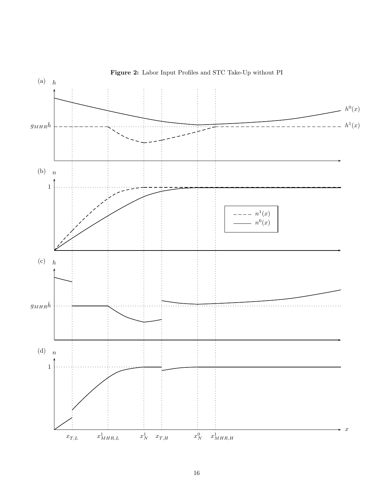

<span id="page-17-0"></span>**Figure 2:** Labor Input Profiles and STC Take-Up without PI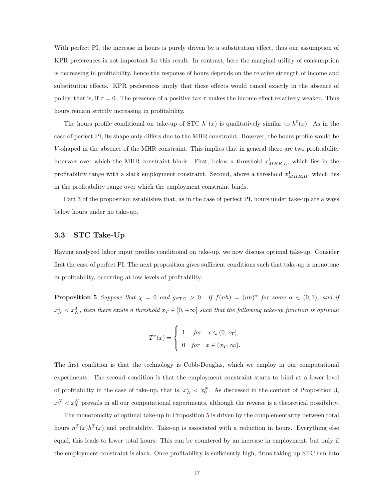With perfect PI, the increase in hours is purely driven by a substitution effect, thus our assumption of KPR preferences is not important for this result. In contrast, here the marginal utility of consumption is decreasing in profitability, hence the response of hours depends on the relative strength of income and substitution effects. KPR preferences imply that these effects would cancel exactly in the absence of policy, that is, if  $\tau = 0$ . The presence of a positive tax  $\tau$  makes the income effect relatively weaker. Thus hours remain strictly increasing in profitability.

The hours profile conditional on take-up of STC  $h^1(x)$  is qualitatively similar to  $h^0(x)$ . As in the case of perfect PI, its shape only differs due to the MHR constraint. However, the hours profile would be *V*-shaped in the absence of the MHR constraint. This implies that in general there are two profitability intervals over which the MHR constraint binds. First, below a threshold  $x_{MHR,L}^1$ , which lies in the profitability range with a slack employment constraint. Second, above a threshold  $x_{MHR,H}^1$ , which lies in the profitability range over which the employment constraint binds.

Part 3 of the proposition establishes that, as in the case of perfect PI, hours under take-up are always below hours under no take-up.

### <span id="page-18-0"></span>**3.3 STC Take-Up**

Having analyzed labor input profiles conditional on take-up, we now discuss optimal take-up. Consider first the case of perfect PI. The next proposition gives sufficient conditions such that take-up is monotone in profitability, occurring at low levels of profitability.

**Proposition 5** *Suppose that*  $\chi = 0$  *and*  $g_{STC} > 0$ *. If*  $f(nh) = (nh)^{\alpha}$  *for some*  $\alpha \in (0,1)$ *, and if*  $x_N^1 < x_N^0$ , then there exists a threshold  $x_T \in [0, +\infty]$  such that the following take-up function is optimal:

<span id="page-18-1"></span>
$$
T^*(x) = \begin{cases} 1 & \text{for } x \in (0, x_T], \\ 0 & \text{for } x \in (x_T, \infty). \end{cases}
$$

The first condition is that the technology is Cobb-Douglas, which we employ in our computational experiments. The second condition is that the employment constraint starts to bind at a lower level of profitability in the case of take-up, that is,  $x_N^1 < x_0^N$ . As discussed in the context of Proposition 3,  $x_1^N < x_0^N$  prevails in all our computational experiments, although the reverse is a theoretical possibility.

The monotonicity of optimal take-up in Proposition [5](#page-18-1) is driven by the complementarity between total hours  $n^T(x)h^T(x)$  and profitability. Take-up is associated with a reduction in hours. Everything else equal, this leads to lower total hours. This can be countered by an increase in employment, but only if the employment constraint is slack. Once profitability is sufficiently high, firms taking up STC run into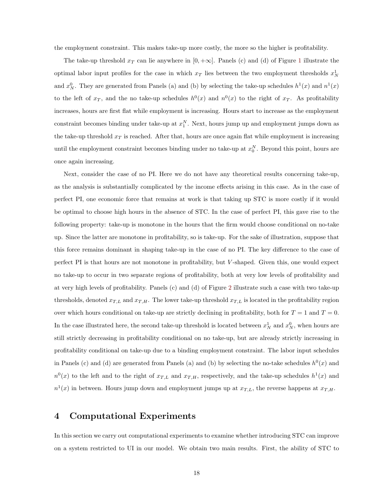the employment constraint. This makes take-up more costly, the more so the higher is profitability.

The take-up threshold  $x_T$  can lie anywhere in  $[0, +\infty]$ . Panels (c) and (d) of Figure [1](#page-15-0) illustrate the optimal labor input profiles for the case in which  $x_T$  lies between the two employment thresholds  $x_N^1$ and  $x_N^0$ . They are generated from Panels (a) and (b) by selecting the take-up schedules  $h^1(x)$  and  $n^1(x)$ to the left of  $x_T$ , and the no take-up schedules  $h^0(x)$  and  $n^0(x)$  to the right of  $x_T$ . As profitability increases, hours are first flat while employment is increasing. Hours start to increase as the employment constraint becomes binding under take-up at  $x_1^N$ . Next, hours jump up and employment jumps down as the take-up threshold  $x<sub>T</sub>$  is reached. After that, hours are once again flat while employment is increasing until the employment constraint becomes binding under no take-up at  $x_0^N$ . Beyond this point, hours are once again increasing.

Next, consider the case of no PI. Here we do not have any theoretical results concerning take-up, as the analysis is substantially complicated by the income effects arising in this case. As in the case of perfect PI, one economic force that remains at work is that taking up STC is more costly if it would be optimal to choose high hours in the absence of STC. In the case of perfect PI, this gave rise to the following property: take-up is monotone in the hours that the firm would choose conditional on no-take up. Since the latter are monotone in profitability, so is take-up. For the sake of illustration, suppose that this force remains dominant in shaping take-up in the case of no PI. The key difference to the case of perfect PI is that hours are not monotone in profitability, but *V* -shaped. Given this, one would expect no take-up to occur in two separate regions of profitability, both at very low levels of profitability and at very high levels of profitability. Panels (c) and (d) of Figure [2](#page-17-0) illustrate such a case with two take-up thresholds, denoted  $x_{T,L}$  and  $x_{T,H}$ . The lower take-up threshold  $x_{T,L}$  is located in the profitability region over which hours conditional on take-up are strictly declining in profitability, both for  $T = 1$  and  $T = 0$ . In the case illustrated here, the second take-up threshold is located between  $x_N^1$  and  $x_N^0$ , when hours are still strictly decreasing in profitability conditional on no take-up, but are already strictly increasing in profitability conditional on take-up due to a binding employment constraint. The labor input schedules in Panels (c) and (d) are generated from Panels (a) and (b) by selecting the no-take schedules  $h^0(x)$  and  $n^0(x)$  to the left and to the right of  $x_{T,L}$  and  $x_{T,H}$ , respectively, and the take-up schedules  $h^1(x)$  and  $n^1(x)$  in between. Hours jump down and employment jumps up at  $x_{T,L}$ , the reverse happens at  $x_{T,H}$ .

### <span id="page-19-0"></span>**4 Computational Experiments**

In this section we carry out computational experiments to examine whether introducing STC can improve on a system restricted to UI in our model. We obtain two main results. First, the ability of STC to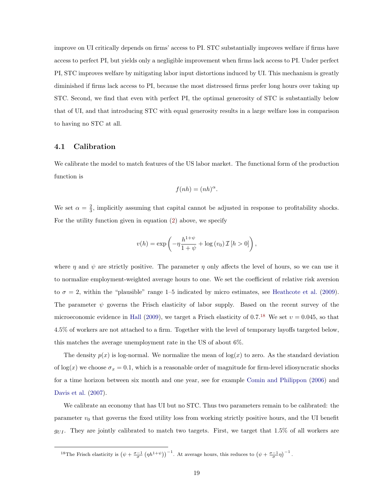improve on UI critically depends on firms' access to PI. STC substantially improves welfare if firms have access to perfect PI, but yields only a negligible improvement when firms lack access to PI. Under perfect PI, STC improves welfare by mitigating labor input distortions induced by UI. This mechanism is greatly diminished if firms lack access to PI, because the most distressed firms prefer long hours over taking up STC. Second, we find that even with perfect PI, the optimal generosity of STC is substantially below that of UI, and that introducing STC with equal generosity results in a large welfare loss in comparison to having no STC at all.

### **4.1 Calibration**

We calibrate the model to match features of the US labor market. The functional form of the production function is

$$
f(nh) = (nh)^{\alpha}.
$$

We set  $\alpha = \frac{2}{3}$ , implicitly assuming that capital cannot be adjusted in response to profitability shocks. For the utility function given in equation([2](#page-7-0)) above, we specify

$$
v(h) = \exp\left(-\eta \frac{h^{1+\psi}}{1+\psi} + \log(v_0) \mathcal{I}[h > 0]\right),\,
$$

where  $\eta$  and  $\psi$  are strictly positive. The parameter  $\eta$  only affects the level of hours, so we can use it to normalize employment-weighted average hours to one. We set the coefficient of relative risk aversion to  $\sigma = 2$ , within the "plausible" range 1–5 indicated by micro estimates, see [Heathcote et al.](#page-55-8) [\(2009\)](#page-55-8). The parameter  $\psi$  governs the Frisch elasticity of labor supply. Based on the recent survey of the microeconomic evidence in [Hall](#page-54-8) ([2009\)](#page-54-8), we target a Frisch elasticity of 0.7.<sup>18</sup> We set  $v = 0.045$ , so that 4.5% of workers are not attached to a firm. Together with the level of temporary layoffs targeted below, this matches the average unemployment rate in the US of about 6%.

The density  $p(x)$  is log-normal. We normalize the mean of  $log(x)$  to zero. As the standard deviation of  $log(x)$  we choose  $\sigma_x = 0.1$ , which is a reasonable order of magnitude for firm-level idiosyncratic shocks for a time horizon between six month and one year, see for example [Comin and Philippon](#page-54-9) ([2006\)](#page-54-9) and [Davis et al.](#page-54-10) ([2007\)](#page-54-10).

We calibrate an economy that has UI but no STC. Thus two parameters remain to be calibrated: the parameter  $v_0$  that governs the fixed utility loss from working strictly positive hours, and the UI benefit  $g_{UI}$ . They are jointly calibrated to match two targets. First, we target that 1.5% of all workers are

<sup>&</sup>lt;sup>18</sup>The Frisch elasticity is  $(\psi + \frac{\sigma - 1}{\sigma} (\eta h^{1+\psi}))^{-1}$ . At average hours, this reduces to  $(\psi + \frac{\sigma - 1}{\sigma} \eta)^{-1}$ .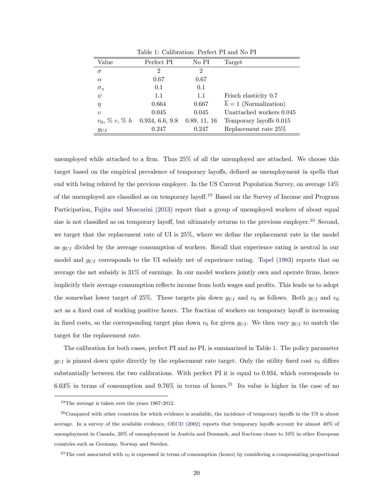| Value                         | Perfect PI      | No PI          | Target                             |
|-------------------------------|-----------------|----------------|------------------------------------|
| $\sigma$                      | $\overline{2}$  | $\overline{2}$ |                                    |
| $\alpha$                      | 0.67            | 0.67           |                                    |
| $\sigma_x$                    | 0.1             | 0.1            |                                    |
| $\psi$                        | 1.1             | 1.1            | Frisch elasticity 0.7              |
| η                             | 0.664           | 0.667          | $\overline{h} = 1$ (Normalization) |
| $\eta$                        | 0.045           | 0.045          | Unattached workers 0.045           |
| $v_0, \, \% \, c, \, \% \, h$ | 0.934, 6.6, 9.8 | 0.89, 11, 16   | Temporary layoffs 0.015            |
| $g_{UI}$                      | 0.247           | 0.247          | Replacement rate 25%               |

<span id="page-21-0"></span>Table 1: Calibration: Perfect PI and No PI

unemployed while attached to a firm. Thus 25% of all the unemployed are attached. We choose this target based on the empirical prevalence of temporary layoffs, defined as unemployment in spells that end with being rehired by the previous employer. In the US Current Population Survey, on average 14% of the unemployed are classified as on temporary layoff.19 Based on the Survey of Income and Program Participation, [Fujita and Moscarini](#page-54-11) ([2013\)](#page-54-11) report that a group of unemployed workers of about equal size is not classified as on temporary layoff, but ultimately returns to the previous employer.<sup>20</sup> Second, we target that the replacement rate of UI is 25%, where we define the replacement rate in the model as *gU I* divided by the average consumption of workers. Recall that experience rating is neutral in our model and  $g_{UI}$  corresponds to the UI subsidy net of experience rating. [Topel](#page-55-9) [\(1983\)](#page-55-9) reports that on average the net subsidy is 31% of earnings. In our model workers jointly own and operate firms, hence implicitly their average consumption reflects income from both wages and profits. This leads us to adopt the somewhat lower target of 25%. These targets pin down  $g_{UI}$  and  $v_0$  as follows. Both  $g_{UI}$  and  $v_0$ act as a fixed cost of working positive hours. The fraction of workers on temporary layoff is increasing in fixed costs, so the corresponding target pins down  $v_0$  for given  $g_{UI}$ . We then vary  $g_{UI}$  to match the target for the replacement rate.

The calibration for both cases, perfect PI and no PI, is summarized in Table [1](#page-21-0). The policy parameter  $g_{UI}$  is pinned down quite directly by the replacement rate target. Only the utility fixed cost  $v_0$  differs substantially between the two calibrations. With perfect PI it is equal to 0*.*934, which corresponds to 6*.*63% in terms of consumption and 9*.*76% in terms of hours.21 Its value is higher in the case of no

<sup>19</sup>The average is taken over the years 1967-2012.

 $^{20}$ Compared with other countries for which evidence is available, the incidence of temporary layoffs in the US is about average. In a survey of the available evidence, [OECD](#page-55-10) ([2002\)](#page-55-10) reports that temporary layoffs account for almost 40% of unemployment in Canada, 20% of unemployment in Austria and Denmark, and fractions closer to 10% in other European countries such as Germany, Norway and Sweden.

<sup>&</sup>lt;sup>21</sup>The cost associated with  $v_0$  is expressed in terms of consumption (hours) by considering a compensating proportional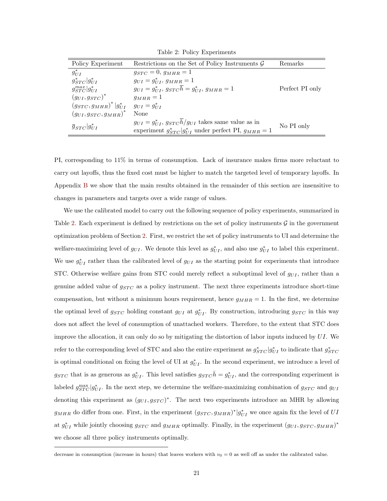<span id="page-22-0"></span>Table 2: Policy Experiments

| Policy Experiment                 | Restrictions on the Set of Policy Instruments $\mathcal G$                                                                                   | Remarks         |
|-----------------------------------|----------------------------------------------------------------------------------------------------------------------------------------------|-----------------|
| $g_{III}^*$                       | $g_{STC} = 0, g_{MHR} = 1$                                                                                                                   |                 |
| $g_{STC}^* g_{UI}^* $             | $g_{UI} = g_{UI}^*$ , $g_{MHR} = 1$                                                                                                          |                 |
| $g_{STC}^{max} g_{III}^* $        | $g_{UI} = g_{UI}^*$ , $g_{STC}$ $\overline{h} = g_{UI}^*$ , $g_{MHR} = 1$                                                                    | Perfect PI only |
| $(g_{UI}, g_{STC})^*$             | $g_{MHR}=1$                                                                                                                                  |                 |
| $(g_{STC}, g_{MHR})^*   g_{UI}^*$ | $g_{UI}=g_{UI}^*$                                                                                                                            |                 |
| $(g_{UI}, g_{STC}, g_{MHR})^*$    | None                                                                                                                                         |                 |
| $\overline{g}_{STC} g_{UI}^* $    | $g_{UI} = g_{UI}^*$ , $g_{STC} \overline{h}/g_{UI}$ takes same value as in<br>experiment $g_{STC}^* g_{III}^*$ under perfect PI, $g_{MHR}=1$ | No PI only      |

PI, corresponding to 11% in terms of consumption. Lack of insurance makes firms more reluctant to carry out layoffs, thus the fixed cost must be higher to match the targeted level of temporary layoffs. In Appendix [B](#page-48-0) we show that the main results obtained in the remainder of this section are insensitive to changes in parameters and targets over a wide range of values.

We use the calibrated model to carry out the following sequence of policy experiments, summarized in Table [2.](#page-22-0) Each experiment is defined by restrictions on the set of policy instruments *G* in the government optimization problem of Section [2](#page-6-0). First, we restrict the set of policy instruments to UI and determine the welfare-maximizing level of  $g_{UI}$ . We denote this level as  $g_{UI}^*$ , and also use  $g_{UI}^*$  to label this experiment. We use  $g_{UI}^*$  rather than the calibrated level of  $g_{UI}$  as the starting point for experiments that introduce STC. Otherwise welfare gains from STC could merely reflect a suboptimal level of  $g_{UI}$ , rather than a genuine added value of  $g_{STC}$  as a policy instrument. The next three experiments introduce short-time compensation, but without a minimum hours requirement, hence  $g_{MHR} = 1$ . In the first, we determine the optimal level of  $g_{STC}$  holding constant  $g_{UI}$  at  $g_{UI}^*$ . By construction, introducing  $g_{STC}$  in this way does not affect the level of consumption of unattached workers. Therefore, to the extent that STC does improve the allocation, it can only do so by mitigating the distortion of labor inputs induced by *UI*. We refer to the corresponding level of STC and also the entire experiment as  $g_{STC}^*|g_{UI}^*$  to indicate that  $g_{STC}^*$ is optimal conditional on fixing the level of UI at  $g_{UI}^*$ . In the second experiment, we introduce a level of  $g_{STC}$  that is as generous as  $g_{UI}^*$ . This level satisfies  $g_{STC}\bar{h} = g_{UI}^*$ , and the corresponding experiment is labeled  $g_{STC}^{\max}|g_{UI}^*|$ . In the next step, we determine the welfare-maximizing combination of  $g_{STC}$  and  $g_{UI}$ denoting this experiment as (*gU I , gST C* ) *∗* . The next two experiments introduce an MHR by allowing  $g_{MHR}$  do differ from one. First, in the experiment  $(g_{STC}, g_{MHR})^*|g_{UI}^*$  we once again fix the level of  $UI$ at  $g_{UI}^*$  while jointly choosing  $g_{STC}$  and  $g_{MHR}$  optimally. Finally, in the experiment  $(g_{UI}, g_{STC}, g_{MHR})^*$ we choose all three policy instruments optimally.

decrease in consumption (increase in hours) that leaves workers with  $v_0 = 0$  as well off as under the calibrated value.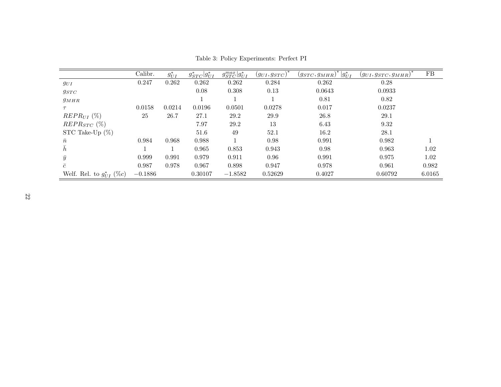<span id="page-23-0"></span>

|                                | Calibr.   | $g_{UI}^*$ | $g_{STC}^* g_{UI}^* $ | $g_{STC}^{max} g_{UI}^* $ | $(g_{UI}, g_{STC})$ | $(g_{STC}, g_{MHR})^*   g_{UI}^*$ | $(g_{UI}, g_{STC}, g_{MHR})$ | FB     |
|--------------------------------|-----------|------------|-----------------------|---------------------------|---------------------|-----------------------------------|------------------------------|--------|
| $g_{UI}$                       | 0.247     | 0.262      | 0.262                 | 0.262                     | 0.284               | 0.262                             | 0.28                         |        |
| $g_{STC}$                      |           |            | 0.08                  | 0.308                     | 0.13                | 0.0643                            | 0.0933                       |        |
| $g_{MHR}$                      |           |            |                       |                           |                     | 0.81                              | 0.82                         |        |
| $\tau$                         | 0.0158    | 0.0214     | 0.0196                | 0.0501                    | 0.0278              | 0.017                             | 0.0237                       |        |
| $REPR_{UI}$ (%)                | 25        | 26.7       | 27.1                  | 29.2                      | 29.9                | 26.8                              | 29.1                         |        |
| $REPR_{STC}$ (%)               |           |            | 7.97                  | 29.2                      | 13                  | 6.43                              | 9.32                         |        |
| STC Take-Up $(\%)$             |           |            | 51.6                  | 49                        | 52.1                | 16.2                              | 28.1                         |        |
| $\bar{n}$                      | 0.984     | 0.968      | 0.988                 |                           | 0.98                | 0.991                             | 0.982                        |        |
| h                              |           |            | 0.965                 | 0.853                     | 0.943               | 0.98                              | 0.963                        | 1.02   |
| $\bar{y}$                      | 0.999     | 0.991      | 0.979                 | 0.911                     | 0.96                | 0.991                             | 0.975                        | 1.02   |
| $\bar{c}$                      | 0.987     | 0.978      | 0.967                 | 0.898                     | 0.947               | 0.978                             | 0.961                        | 0.982  |
| Welf. Rel. to $g_{III}^*$ (%c) | $-0.1886$ |            | 0.30107               | $-1.8582$                 | 0.52629             | 0.4027                            | 0.60792                      | 6.0165 |

Table 3: Policy Experiments: Perfect PI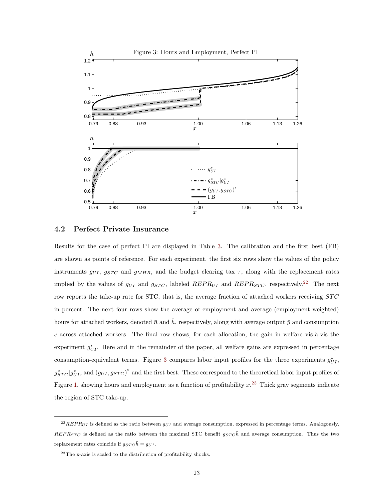<span id="page-24-0"></span>

### <span id="page-24-1"></span>**4.2 Perfect Private Insurance**

Results for the case of perfect PI are displayed in Table [3](#page-23-0). The calibration and the first best (FB) are shown as points of reference. For each experiment, the first six rows show the values of the policy instruments  $g_{UI}$ ,  $g_{STC}$  and  $g_{MHR}$ , and the budget clearing tax  $\tau$ , along with the replacement rates implied by the values of  $g_{UI}$  and  $g_{STC}$ , labeled  $REPR_{UI}$  and  $REPR_{STC}$ , respectively.<sup>22</sup> The next row reports the take-up rate for STC, that is, the average fraction of attached workers receiving *ST C* in percent. The next four rows show the average of employment and average (employment weighted) hours for attached workers, denoted  $\bar{n}$  and  $\bar{h}$ , respectively, along with average output  $\bar{y}$  and consumption  $\bar{c}$  across attached workers. The final row shows, for each allocation, the gain in welfare vis- $\dot{a}$ -vis the experiment  $g_{UI}^*$ . Here and in the remainder of the paper, all welfare gains are expressed in percentage consumption-equivalent terms. Figure [3](#page-24-0) compares labor input profiles for the three experiments  $g_{UI}^*$ ,  $g_{STC}^*|g_{UI}^*|$ , and  $(g_{UI}, g_{STC})^*$  and the first best. These correspond to the theoretical labor input profiles of Figure [1,](#page-15-0) showing hours and employment as a function of profitability *x*. 23 Thick gray segments indicate the region of STC take-up.

 $^{22}REPR_{UI}$  is defined as the ratio between  $g_{UI}$  and average consumption, expressed in percentage terms. Analogously,  $REP R<sub>STC</sub>$  is defined as the ratio between the maximal STC benefit  $g<sub>STC</sub>$ <sup> $h$ </sup> and average consumption. Thus the two replacement rates coincide if  $g_{STC}\bar{h} = g_{UI}$ .

<sup>23</sup>The x-axis is scaled to the distribution of profitability shocks.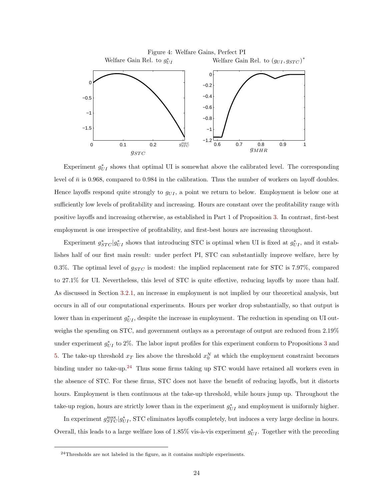<span id="page-25-0"></span>

Experiment  $g_{UI}^*$  shows that optimal UI is somewhat above the calibrated level. The corresponding level of  $\bar{n}$  is 0.968, compared to 0.984 in the calibration. Thus the number of workers on layoff doubles. Hence layoffs respond quite strongly to *gU I* , a point we return to below. Employment is below one at sufficiently low levels of profitability and increasing. Hours are constant over the profitability range with positive layoffs and increasing otherwise, as established in Part 1 of Proposition [3.](#page-13-3) In contrast, first-best employment is one irrespective of profitability, and first-best hours are increasing throughout.

Experiment  $g_{STC}^* | g_{UI}^*$  shows that introducing STC is optimal when UI is fixed at  $g_{UI}^*$ , and it establishes half of our first main result: under perfect PI, STC can substantially improve welfare, here by 0.3%. The optimal level of  $g_{STC}$  is modest: the implied replacement rate for STC is 7.97%, compared to 27.1% for UI. Nevertheless, this level of STC is quite effective, reducing layoffs by more than half. As discussed in Section [3.2.1](#page-13-4), an increase in employment is not implied by our theoretical analysis, but occurs in all of our computational experiments. Hours per worker drop substantially, so that output is lower than in experiment  $g_{UI}^*$ , despite the increase in employment. The reduction in spending on UI outweighs the spending on STC, and government outlays as a percentage of output are reduced from 2.19% under experiment  $g_{UI}^*$  to 2%. The labor input profiles for this experiment conform to Propositions [3](#page-13-3) and [5.](#page-18-1) The take-up threshold  $x_T$  lies above the threshold  $x_0^N$  at which the employment constraint becomes binding under no take-up.<sup>24</sup> Thus some firms taking up STC would have retained all workers even in the absence of STC. For these firms, STC does not have the benefit of reducing layoffs, but it distorts hours. Employment is then continuous at the take-up threshold, while hours jump up. Throughout the take-up region, hours are strictly lower than in the experiment  $g_{UI}^*$  and employment is uniformly higher.

In experiment  $g_{STC}^{\text{max}}|g_{UI}^*|$ , STC eliminates layoffs completely, but induces a very large decline in hours. Overall, this leads to a large welfare loss of 1.85% vis-à-vis experiment  $g_{UI}^*$ . Together with the preceding

 $24$ Thresholds are not labeled in the figure, as it contains multiple experiments.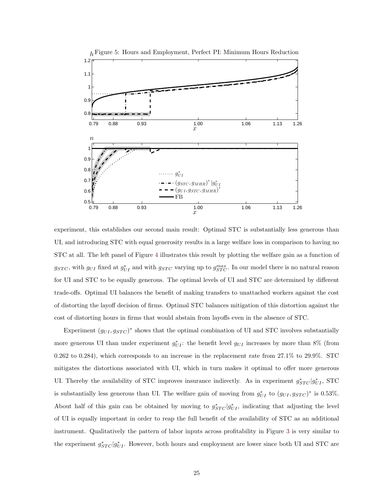<span id="page-26-0"></span>

experiment, this establishes our second main result: Optimal STC is substantially less generous than UI, and introducing STC with equal generosity results in a large welfare loss in comparison to having no STC at all. The left panel of Figure [4](#page-25-0) illustrates this result by plotting the welfare gain as a function of  $g_{STC}$ , with  $g_{UI}$  fixed at  $g_{UI}^*$  and with  $g_{STC}$  varying up to  $g_{STC}^{max}$ . In our model there is no natural reason for UI and STC to be equally generous. The optimal levels of UI and STC are determined by different trade-offs. Optimal UI balances the benefit of making transfers to unattached workers against the cost of distorting the layoff decision of firms. Optimal STC balances mitigation of this distortion against the cost of distorting hours in firms that would abstain from layoffs even in the absence of STC.

Experiment  $(g_{UI}, g_{STC})^*$  shows that the optimal combination of UI and STC involves substantially more generous UI than under experiment  $g_{UI}^*$ : the benefit level  $g_{UI}$  increases by more than 8% (from 0.262 to 0.284), which corresponds to an increase in the replacement rate from 27.1% to 29.9%. STC mitigates the distortions associated with UI, which in turn makes it optimal to offer more generous UI. Thereby the availability of STC improves insurance indirectly. As in experiment  $g^{*}_{STC}|g^{*}_{UI}$ , STC is substantially less generous than UI. The welfare gain of moving from  $g_{UI}^*$  to  $(g_{UI}, g_{STC})^*$  is 0.53%. About half of this gain can be obtained by moving to  $g_{STC}^* | g_{UI}^*$ , indicating that adjusting the level of UI is equally important in order to reap the full benefit of the availability of STC as an additional instrument. Qualitatively the pattern of labor inputs across profitability in Figure [3](#page-24-0) is very similar to the experiment  $g_{STC}^*|g_{UI}^*$ . However, both hours and employment are lower since both UI and STC are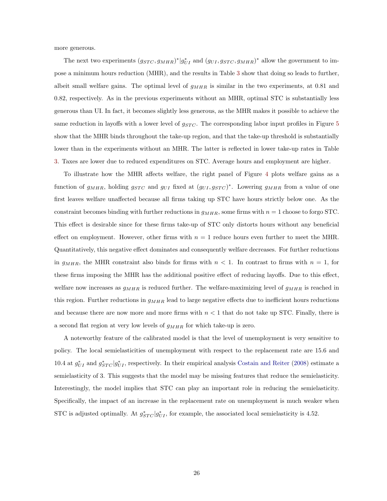more generous.

The next two experiments  $(g_{STC}, g_{MHR})^* | g_{UI}^*$  and  $(g_{UI}, g_{STC}, g_{MHR})^*$  allow the government to impose a minimum hours reduction (MHR), and the results in Table [3](#page-23-0) show that doing so leads to further, albeit small welfare gains. The optimal level of *gMHR* is similar in the two experiments, at 0.81 and 0.82, respectively. As in the previous experiments without an MHR, optimal STC is substantially less generous than UI. In fact, it becomes slightly less generous, as the MHR makes it possible to achieve the same reduction in layoffs with a lower level of  $g_{STC}$ . The corresponding labor input profiles in Figure [5](#page-26-0) show that the MHR binds throughout the take-up region, and that the take-up threshold is substantially lower than in the experiments without an MHR. The latter is reflected in lower take-up rates in Table [3.](#page-23-0) Taxes are lower due to reduced expenditures on STC. Average hours and employment are higher.

To illustrate how the MHR affects welfare, the right panel of Figure [4](#page-25-0) plots welfare gains as a function of  $g_{MHR}$ , holding  $g_{STC}$  and  $g_{UI}$  fixed at  $(g_{UI}, g_{STC})^*$ . Lowering  $g_{MHR}$  from a value of one first leaves welfare unaffected because all firms taking up STC have hours strictly below one. As the constraint becomes binding with further reductions in  $g_{MHR}$ , some firms with  $n = 1$  choose to forgo STC. This effect is desirable since for these firms take-up of STC only distorts hours without any beneficial effect on employment. However, other firms with  $n = 1$  reduce hours even further to meet the MHR. Quantitatively, this negative effect dominates and consequently welfare decreases. For further reductions in  $g_{MHR}$ , the MHR constraint also binds for firms with  $n < 1$ . In contrast to firms with  $n = 1$ , for these firms imposing the MHR has the additional positive effect of reducing layoffs. Due to this effect, welfare now increases as *gMHR* is reduced further. The welfare-maximizing level of *gMHR* is reached in this region. Further reductions in *gMHR* lead to large negative effects due to inefficient hours reductions and because there are now more and more firms with *n <* 1 that do not take up STC. Finally, there is a second flat region at very low levels of *gMHR* for which take-up is zero.

A noteworthy feature of the calibrated model is that the level of unemployment is very sensitive to policy. The local semielasticities of unemployment with respect to the replacement rate are 15.6 and 10.4 at  $g_{UI}^*$  and  $g_{STC}^* | g_{UI}^*$ , respectively. In their empirical analysis [Costain and Reiter](#page-54-12) [\(2008](#page-54-12)) estimate a semielasticity of 3. This suggests that the model may be missing features that reduce the semielasticity. Interestingly, the model implies that STC can play an important role in reducing the semielasticity. Specifically, the impact of an increase in the replacement rate on unemployment is much weaker when STC is adjusted optimally. At  $g_{STC}^*|g_{UI}^*$ , for example, the associated local semielasticity is 4.52.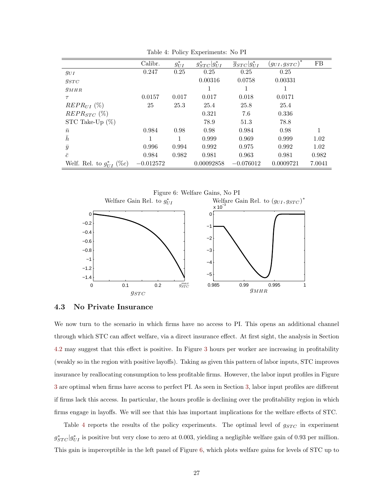|                                | Calibr.     | $g_{UI}^*$ | $g_{STC}^* g_{UI}^* $ | $\overline{g}_{STC} g_{UI}^* $ | $\left(g_{UI}, g_{STC}\right)^*$ | FB     |
|--------------------------------|-------------|------------|-----------------------|--------------------------------|----------------------------------|--------|
| $g_{UI}$                       | 0.247       | 0.25       | 0.25                  | 0.25                           | 0.25                             |        |
| $g_{STC}$                      |             |            | 0.00316               | 0.0758                         | 0.00331                          |        |
| $g_{MHR}$                      |             |            |                       |                                |                                  |        |
| $\tau$                         | 0.0157      | 0.017      | 0.017                 | 0.018                          | 0.0171                           |        |
| $REPR_{UI}$ (%)                | 25          | 25.3       | 25.4                  | 25.8                           | 25.4                             |        |
| $REPR_{STC}$ (%)               |             |            | 0.321                 | 7.6                            | 0.336                            |        |
| STC Take-Up $(\%)$             |             |            | 78.9                  | 51.3                           | 78.8                             |        |
| $\bar{n}$                      | 0.984       | 0.98       | 0.98                  | 0.984                          | 0.98                             | 1      |
| $\bar{h}$                      |             | 1          | 0.999                 | 0.969                          | 0.999                            | 1.02   |
| $\bar{y}$                      | 0.996       | 0.994      | 0.992                 | 0.975                          | 0.992                            | 1.02   |
| $\bar{c}$                      | 0.984       | 0.982      | 0.981                 | 0.963                          | 0.981                            | 0.982  |
| Welf. Rel. to $g_{III}^*$ (%c) | $-0.012572$ |            | 0.00092858            | $-0.076012$                    | 0.0009721                        | 7.0041 |

<span id="page-28-0"></span>Table 4: Policy Experiments: No PI

<span id="page-28-1"></span>

### <span id="page-28-2"></span>**4.3 No Private Insurance**

We now turn to the scenario in which firms have no access to PI. This opens an additional channel through which STC can affect welfare, via a direct insurance effect. At first sight, the analysis in Section [4.2](#page-24-1) may suggest that this effect is positive. In Figure [3](#page-24-0) hours per worker are increasing in profitability (weakly so in the region with positive layoffs). Taking as given this pattern of labor inputs, STC improves insurance by reallocating consumption to less profitable firms. However, the labor input profiles in Figure [3](#page-24-0) are optimal when firms have access to perfect PI. As seen in Section [3,](#page-11-0) labor input profiles are different if firms lack this access. In particular, the hours profile is declining over the profitability region in which firms engage in layoffs. We will see that this has important implications for the welfare effects of STC.

Table [4](#page-28-0) reports the results of the policy experiments. The optimal level of  $g_{STC}$  in experiment  $g_{STC}^*|g_{UI}^*|$  is positive but very close to zero at 0.003, yielding a negligible welfare gain of 0.93 per million. This gain is imperceptible in the left panel of Figure [6,](#page-28-1) which plots welfare gains for levels of STC up to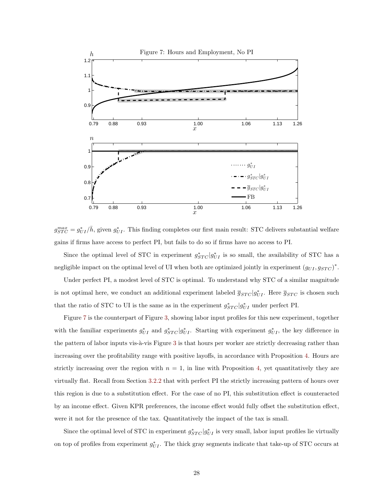<span id="page-29-0"></span>

 $g_{STC}^{max} = g_{UI}^*/\bar{h}$ , given  $g_{UI}^*$ . This finding completes our first main result: STC delivers substantial welfare gains if firms have access to perfect PI, but fails to do so if firms have no access to PI.

Since the optimal level of STC in experiment  $g_{STC}^*|g_{UI}^*|$  is so small, the availability of STC has a negligible impact on the optimal level of UI when both are optimized jointly in experiment  $(g_{UI}, g_{STC})^*$ .

Under perfect PI, a modest level of STC is optimal. To understand why STC of a similar magnitude is not optimal here, we conduct an additional experiment labeled  $\bar{g}_{STC}|g^*_{UI}$ . Here  $\bar{g}_{STC}$  is chosen such that the ratio of STC to UI is the same as in the experiment  $g_{STC}^* | g_{UI}^*$  under perfect PI.

Figure [7](#page-29-0) is the counterpart of Figure [3](#page-24-0), showing labor input profiles for this new experiment, together with the familiar experiments  $g_{UI}^*$  and  $g_{STC}^* | g_{UI}^*$ . Starting with experiment  $g_{UI}^*$ , the key difference in the pattern of labor inputs vis-à-vis Figure [3](#page-24-0) is that hours per worker are strictly decreasing rather than increasing over the profitability range with positive layoffs, in accordance with Proposition [4](#page-16-0). Hours are strictly increasing over the region with  $n = 1$ , in line with Proposition [4,](#page-16-0) yet quantitatively they are virtually flat. Recall from Section [3.2.2](#page-16-1) that with perfect PI the strictly increasing pattern of hours over this region is due to a substitution effect. For the case of no PI, this substitution effect is counteracted by an income effect. Given KPR preferences, the income effect would fully offset the substitution effect, were it not for the presence of the tax. Quantitatively the impact of the tax is small.

Since the optimal level of STC in experiment  $g_{STC}^*|g_{UI}^*$  is very small, labor input profiles lie virtually on top of profiles from experiment  $g_{UI}^*$ . The thick gray segments indicate that take-up of STC occurs at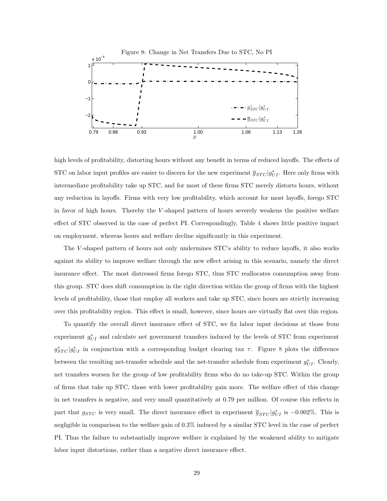<span id="page-30-0"></span>

high levels of profitability, distorting hours without any benefit in terms of reduced layoffs. The effects of STC on labor input profiles are easier to discern for the new experiment  $\overline{g}_{STC}|g^*_{UI}$ . Here only firms with intermediate profitability take up STC, and for most of these firms STC merely distorts hours, without any reduction in layoffs. Firms with very low profitability, which account for most layoffs, forego STC in favor of high hours. Thereby the *V* -shaped pattern of hours severely weakens the positive welfare effect of STC observed in the case of perfect PI. Correspondingly, Table [4](#page-28-0) shows little positive impact on employment, whereas hours and welfare decline significantly in this experiment.

The *V* -shaped pattern of hours not only undermines STC's ability to reduce layoffs, it also works against its ability to improve welfare through the new effect arising in this scenario, namely the direct insurance effect. The most distressed firms forego STC, thus STC reallocates consumption away from this group. STC does shift consumption in the right direction within the group of firms with the highest levels of profitability, those that employ all workers and take up STC, since hours are strictly increasing over this profitability region. This effect is small, however, since hours are virtually flat over this region.

To quantify the overall direct insurance effect of STC, we fix labor input decisions at those from experiment  $g_{UI}^*$  and calculate net government transfers induced by the levels of STC from experiment  $g_{STC}^*|g_{UI}^*|$  in conjunction with a corresponding budget clearing tax *τ*. Figure [8](#page-30-0) plots the difference between the resulting net-transfer schedule and the net-transfer schedule from experiment  $g_{UI}^*$ . Clearly, net transfers worsen for the group of low profitability firms who do no take-up STC. Within the group of firms that take up STC, those with lower profitability gain more. The welfare effect of this change in net transfers is negative, and very small quantitatively at 0*.*79 per million. Of course this reflects in part that  $g_{STC}$  is very small. The direct insurance effect in experiment  $\bar{g}_{STC}|g_{UI}^*|$  is  $-0.002\%$ . This is negligible in comparison to the welfare gain of 0*.*3% induced by a similar STC level in the case of perfect PI. Thus the failure to substantially improve welfare is explained by the weakened ability to mitigate labor input distortions, rather than a negative direct insurance effect.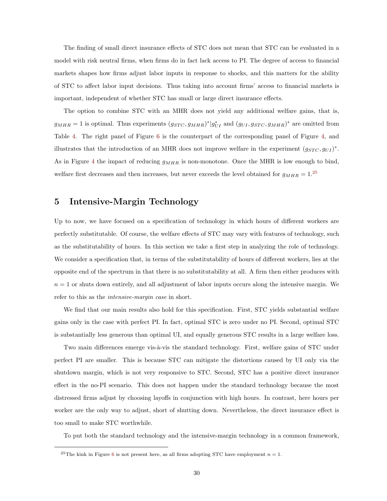The finding of small direct insurance effects of STC does not mean that STC can be evaluated in a model with risk neutral firms, when firms do in fact lack access to PI. The degree of access to financial markets shapes how firms adjust labor inputs in response to shocks, and this matters for the ability of STC to affect labor input decisions. Thus taking into account firms' access to financial markets is important, independent of whether STC has small or large direct insurance effects.

The option to combine STC with an MHR does not yield any additional welfare gains, that is,  $g_{MHR} = 1$  is optimal. Thus experiments  $(g_{STC}, g_{MHR})^* | g_{UI}^*$  and  $(g_{UI}, g_{STC}, g_{MHR})^*$  are omitted from Table [4](#page-28-0). The right panel of Figure [6](#page-28-1) is the counterpart of the corresponding panel of Figure [4](#page-25-0), and illustrates that the introduction of an MHR does not improve welfare in the experiment  $(g_{STC}, g_{UI})^*$ . As in Figure [4](#page-25-0) the impact of reducing *gMHR* is non-monotone. Once the MHR is low enough to bind, welfare first decreases and then increases, but never exceeds the level obtained for  $g_{MHR} = 1.25$ 

### <span id="page-31-0"></span>**5 Intensive-Margin Technology**

Up to now, we have focused on a specification of technology in which hours of different workers are perfectly substitutable. Of course, the welfare effects of STC may vary with features of technology, such as the substitutability of hours. In this section we take a first step in analyzing the role of technology. We consider a specification that, in terms of the substitutability of hours of different workers, lies at the opposite end of the spectrum in that there is no substitutability at all. A firm then either produces with  $n = 1$  or shuts down entirely, and all adjustment of labor inputs occurs along the intensive margin. We refer to this as the *intensive-margin case* in short.

We find that our main results also hold for this specification. First, STC yields substantial welfare gains only in the case with perfect PI. In fact, optimal STC is zero under no PI. Second, optimal STC is substantially less generous than optimal UI, and equally generous STC results in a large welfare loss.

Two main differences emerge vis-à-vis the standard technology. First, welfare gains of STC under perfect PI are smaller. This is because STC can mitigate the distortions caused by UI only via the shutdown margin, which is not very responsive to STC. Second, STC has a positive direct insurance effect in the no-PI scenario. This does not happen under the standard technology because the most distressed firms adjust by choosing layoffs in conjunction with high hours. In contrast, here hours per worker are the only way to adjust, short of shutting down. Nevertheless, the direct insurance effect is too small to make STC worthwhile.

To put both the standard technology and the intensive-margin technology in a common framework,

<sup>&</sup>lt;sup>25</sup>The kink in Figure [6](#page-28-1) is not present here, as all firms adopting STC have employment  $n = 1$ .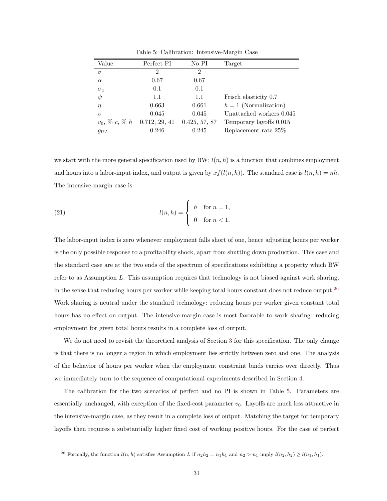| Value                         | Perfect PI    | No PI          | Target                             |
|-------------------------------|---------------|----------------|------------------------------------|
| $\sigma$                      | 2             | $\overline{2}$ |                                    |
| $\alpha$                      | 0.67          | 0.67           |                                    |
| $\sigma_x$                    | 0.1           | 0.1            |                                    |
| $\psi$                        | 1.1           | 1.1            | Frisch elasticity 0.7              |
| η                             | 0.663         | 0.661          | $\overline{h} = 1$ (Normalization) |
| $\eta$                        | 0.045         | 0.045          | Unattached workers 0.045           |
| $v_0, \, \% \, c, \, \% \, h$ | 0.712, 29, 41 | 0.425, 57, 87  | Temporary layoffs 0.015            |
| $g_{UI}$                      | 0.246         | 0.245          | Replacement rate 25%               |

<span id="page-32-0"></span>Table 5: Calibration: Intensive-Margin Case

we start with the more general specification used by BW:  $l(n, h)$  is a function that combines employment and hours into a labor-input index, and output is given by  $xf(l(n, h))$ . The standard case is  $l(n, h) = nh$ . The intensive-margin case is

(21) 
$$
l(n,h) = \begin{cases} h & \text{for } n = 1, \\ 0 & \text{for } n < 1. \end{cases}
$$

The labor-input index is zero whenever employment falls short of one, hence adjusting hours per worker is the only possible response to a profitability shock, apart from shutting down production. This case and the standard case are at the two ends of the spectrum of specifications exhibiting a property which BW refer to as Assumption *L*. This assumption requires that technology is not biased against work sharing, in the sense that reducing hours per worker while keeping total hours constant does not reduce output.<sup>26</sup> Work sharing is neutral under the standard technology: reducing hours per worker given constant total hours has no effect on output. The intensive-margin case is most favorable to work sharing: reducing employment for given total hours results in a complete loss of output.

We do not need to revisit the theoretical analysis of Section [3](#page-11-0) for this specification. The only change is that there is no longer a region in which employment lies strictly between zero and one. The analysis of the behavior of hours per worker when the employment constraint binds carries over directly. Thus we immediately turn to the sequence of computational experiments described in Section [4.](#page-19-0)

The calibration for the two scenarios of perfect and no PI is shown in Table [5.](#page-32-0) Parameters are essentially unchanged, with exception of the fixed-cost parameter  $v_0$ . Layoffs are much less attractive in the intensive-margin case, as they result in a complete loss of output. Matching the target for temporary layoffs then requires a substantially higher fixed cost of working positive hours. For the case of perfect

<sup>&</sup>lt;sup>26</sup> Formally, the function  $l(n, h)$  satisfies Assumption *L* if  $n_2h_2 = n_1h_1$  and  $n_2 > n_1$  imply  $l(n_2, h_2) \ge l(n_1, h_1)$ .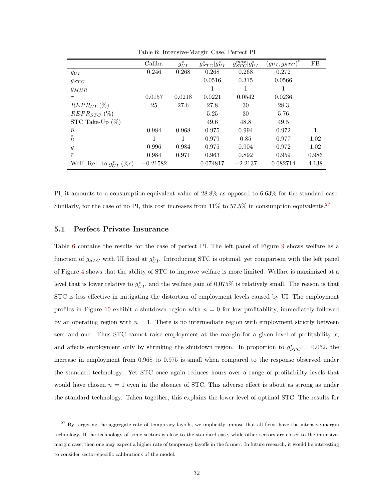|                                | Calibr.    | $g_{UI}^*$ | $g_{STC}^* g_{UI}^* $ | $g_{STC}^{max} g_{UI}^* $ | $(g_{UI}, g_{STC})$ | FB    |
|--------------------------------|------------|------------|-----------------------|---------------------------|---------------------|-------|
| $g_{UI}$                       | 0.246      | 0.268      | 0.268                 | 0.268                     | 0.272               |       |
| $g_{STC}$                      |            |            | 0.0516                | 0.315                     | 0.0566              |       |
| $g_{MHR}$                      |            |            |                       |                           |                     |       |
| $\tau$                         | 0.0157     | 0.0218     | 0.0221                | 0.0542                    | 0.0236              |       |
| $REPR_{UI}$ (%)                | 25         | 27.6       | 27.8                  | 30                        | 28.3                |       |
| $REPR_{STC}$ (%)               |            |            | 5.25                  | 30                        | 5.76                |       |
| STC Take-Up $(\%)$             |            |            | 49.6                  | 48.8                      | 49.5                |       |
| $\bar{n}$                      | 0.984      | 0.968      | 0.975                 | 0.994                     | 0.972               | 1     |
| $\bar{h}$                      |            | 1          | 0.979                 | 0.85                      | 0.977               | 1.02  |
| $\bar{y}$                      | 0.996      | 0.984      | 0.975                 | 0.904                     | 0.972               | 1.02  |
| $\bar{c}$                      | 0.984      | 0.971      | 0.963                 | 0.892                     | 0.959               | 0.986 |
| Welf. Rel. to $g_{III}^*$ (%c) | $-0.21582$ |            | 0.074817              | $-2.2137$                 | 0.082714            | 4.138 |

<span id="page-33-0"></span>Table 6: Intensive-Margin Case, Perfect PI

PI, it amounts to a consumption-equivalent value of 28*.*8% as opposed to 6*.*63% for the standard case. Similarly, for the case of no PI, this cost increases from 11% to 57.5% in consumption equivalents.<sup>27</sup>

### **5.1 Perfect Private Insurance**

Table [6](#page-33-0) contains the results for the case of perfect PI. The left panel of Figure [9](#page-34-0) shows welfare as a function of  $g_{STC}$  with UI fixed at  $g_{UI}^*$ . Introducing STC is optimal, yet comparison with the left panel of Figure [4](#page-25-0) shows that the ability of STC to improve welfare is more limited. Welfare is maximized at a level that is lower relative to  $g_{UI}^*$ , and the welfare gain of 0.075% is relatively small. The reason is that STC is less effective in mitigating the distortion of employment levels caused by UI. The employment profiles in Figure [10](#page-34-1) exhibit a shutdown region with  $n = 0$  for low profitability, immediately followed by an operating region with  $n = 1$ . There is no intermediate region with employment strictly between zero and one. Thus STC cannot raise employment at the margin for a given level of profitability *x*, and affects employment only by shrinking the shutdown region. In proportion to  $g^{*}_{STC} = 0.052$ , the increase in employment from 0.968 to 0.975 is small when compared to the response observed under the standard technology. Yet STC once again reduces hours over a range of profitability levels that would have chosen  $n = 1$  even in the absence of STC. This adverse effect is about as strong as under the standard technology. Taken together, this explains the lower level of optimal STC. The results for

<sup>&</sup>lt;sup>27</sup> By targeting the aggregate rate of temporary layoffs, we implicitly impose that all firms have the intensive-margin technology. If the technology of some sectors is close to the standard case, while other sectors are closer to the intensivemargin case, then one may expect a higher rate of temporary layoffs in the former. In future research, it would be interesting to consider sector-specific calibrations of the model.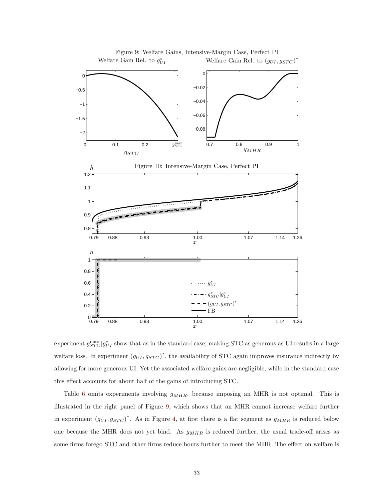

<span id="page-34-1"></span><span id="page-34-0"></span>Figure 9: Welfare Gains, Intensive-Margin Case, Perfect PI

 $\exp$  experiment  $g_{STC}^{\max}|g_{UI}^*|$  show that as in the standard case, making STC as generous as UI results in a large welfare loss. In experiment  $(g_{UI}, g_{STC})^*$ , the availability of STC again improves insurance indirectly by allowing for more generous UI. Yet the associated welfare gains are negligible, while in the standard case this effect accounts for about half of the gains of introducing STC.

Table [6](#page-33-0) omits experiments involving *gMHR*, because imposing an MHR is not optimal. This is illustrated in the right panel of Figure [9](#page-34-0), which shows that an MHR cannot increase welfare further in experiment  $(g_{UI}, g_{STC})^*$ . As in Figure [4,](#page-25-0) at first there is a flat segment as  $g_{MHR}$  is reduced below one because the MHR does not yet bind. As *gMHR* is reduced further, the usual trade-off arises as some firms forego STC and other firms reduce hours further to meet the MHR. The effect on welfare is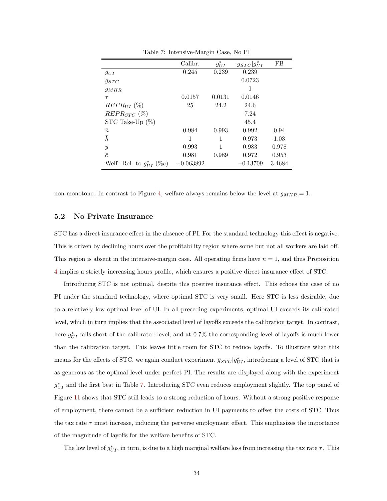|                                | Calibr.     | $g_{UI}^*$ | $\overline{g}_{STC} g_{UI}^*$ | FB     |
|--------------------------------|-------------|------------|-------------------------------|--------|
| $g_{UI}$                       | 0.245       | 0.239      | 0.239                         |        |
| $g_{STC}$                      |             |            | 0.0723                        |        |
| $g_{MHR}$                      |             |            | 1                             |        |
| $\tau$                         | 0.0157      | 0.0131     | 0.0146                        |        |
| $REPR_{UI}$ (%)                | 25          | 24.2       | 24.6                          |        |
| $REPR_{STC}$ (%)               |             |            | 7.24                          |        |
| STC Take-Up $(\%)$             |             |            | 45.4                          |        |
| $\bar{n}$                      | 0.984       | 0.993      | 0.992                         | 0.94   |
| $\bar{h}$                      | 1           | 1          | 0.973                         | 1.03   |
| $\bar{y}$                      | 0.993       | 1          | 0.983                         | 0.978  |
| $\bar{c}$                      | 0.981       | 0.989      | 0.972                         | 0.953  |
| Welf. Rel. to $g_{III}^*$ (%c) | $-0.063892$ |            | $-0.13709$                    | 3.4684 |

<span id="page-35-0"></span>Table 7: Intensive-Margin Case, No PI

non-monotone. In contrast to Figure [4,](#page-25-0) welfare always remains below the level at  $g_{MHR} = 1$ .

#### **5.2 No Private Insurance**

STC has a direct insurance effect in the absence of PI. For the standard technology this effect is negative. This is driven by declining hours over the profitability region where some but not all workers are laid off. This region is absent in the intensive-margin case. All operating firms have  $n = 1$ , and thus Proposition [4](#page-16-0) implies a strictly increasing hours profile, which ensures a positive direct insurance effect of STC.

Introducing STC is not optimal, despite this positive insurance effect. This echoes the case of no PI under the standard technology, where optimal STC is very small. Here STC is less desirable, due to a relatively low optimal level of UI. In all preceding experiments, optimal UI exceeds its calibrated level, which in turn implies that the associated level of layoffs exceeds the calibration target. In contrast, here  $g_{UI}^*$  falls short of the calibrated level, and at 0.7% the corresponding level of layoffs is much lower than the calibration target. This leaves little room for STC to reduce layoffs. To illustrate what this means for the effects of STC, we again conduct experiment  $\overline{g}_{STC}|g^*_{UI}$ , introducing a level of STC that is as generous as the optimal level under perfect PI. The results are displayed along with the experiment  $g_{UI}^*$  and the first best in Table [7](#page-35-0). Introducing STC even reduces employment slightly. The top panel of Figure [11](#page-36-0) shows that STC still leads to a strong reduction of hours. Without a strong positive response of employment, there cannot be a sufficient reduction in UI payments to offset the costs of STC. Thus the tax rate  $\tau$  must increase, inducing the perverse employment effect. This emphasizes the importance of the magnitude of layoffs for the welfare benefits of STC.

The low level of  $g_{UI}^*$ , in turn, is due to a high marginal welfare loss from increasing the tax rate  $\tau$ . This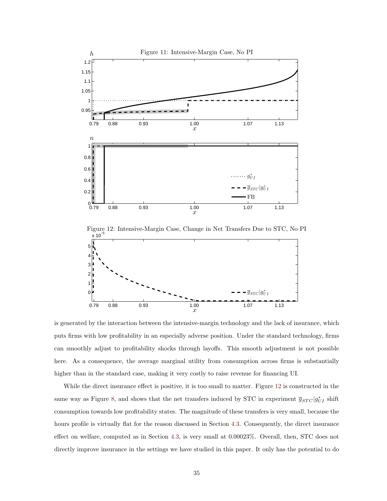<span id="page-36-0"></span>

<span id="page-36-1"></span>

is generated by the interaction between the intensive-margin technology and the lack of insurance, which puts firms with low profitability in an especially adverse position. Under the standard technology, firms can smoothly adjust to profitability shocks through layoffs. This smooth adjustment is not possible here. As a consequence, the average marginal utility from consumption across firms is substantially higher than in the standard case, making it very costly to raise revenue for financing UI.

While the direct insurance effect is positive, it is too small to matter. Figure [12](#page-36-1) is constructed in the same way as Figure [8,](#page-30-0) and shows that the net transfers induced by STC in experiment  $\bar{g}_{STC}|g^*_{UI}$  shift consumption towards low profitability states. The magnitude of these transfers is very small, because the hours profile is virtually flat for the reason discussed in Section [4.3.](#page-28-2) Consequently, the direct insurance effect on welfare, computed as in Section [4.3](#page-28-2), is very small at 0.00023%. Overall, then, STC does not directly improve insurance in the settings we have studied in this paper. It only has the potential to do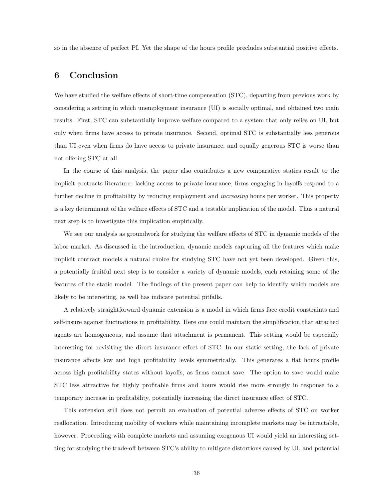so in the absence of perfect PI. Yet the shape of the hours profile precludes substantial positive effects.

### <span id="page-37-0"></span>**6 Conclusion**

We have studied the welfare effects of short-time compensation (STC), departing from previous work by considering a setting in which unemployment insurance (UI) is socially optimal, and obtained two main results. First, STC can substantially improve welfare compared to a system that only relies on UI, but only when firms have access to private insurance. Second, optimal STC is substantially less generous than UI even when firms do have access to private insurance, and equally generous STC is worse than not offering STC at all.

In the course of this analysis, the paper also contributes a new comparative statics result to the implicit contracts literature: lacking access to private insurance, firms engaging in layoffs respond to a further decline in profitability by reducing employment and *increasing* hours per worker. This property is a key determinant of the welfare effects of STC and a testable implication of the model. Thus a natural next step is to investigate this implication empirically.

We see our analysis as groundwork for studying the welfare effects of STC in dynamic models of the labor market. As discussed in the introduction, dynamic models capturing all the features which make implicit contract models a natural choice for studying STC have not yet been developed. Given this, a potentially fruitful next step is to consider a variety of dynamic models, each retaining some of the features of the static model. The findings of the present paper can help to identify which models are likely to be interesting, as well has indicate potential pitfalls.

A relatively straightforward dynamic extension is a model in which firms face credit constraints and self-insure against fluctuations in profitability. Here one could maintain the simplification that attached agents are homogeneous, and assume that attachment is permanent. This setting would be especially interesting for revisiting the direct insurance effect of STC. In our static setting, the lack of private insurance affects low and high profitability levels symmetrically. This generates a flat hours profile across high profitability states without layoffs, as firms cannot save. The option to save would make STC less attractive for highly profitable firms and hours would rise more strongly in response to a temporary increase in profitability, potentially increasing the direct insurance effect of STC.

This extension still does not permit an evaluation of potential adverse effects of STC on worker reallocation. Introducing mobility of workers while maintaining incomplete markets may be intractable, however. Proceeding with complete markets and assuming exogenous UI would yield an interesting setting for studying the trade-off between STC's ability to mitigate distortions caused by UI, and potential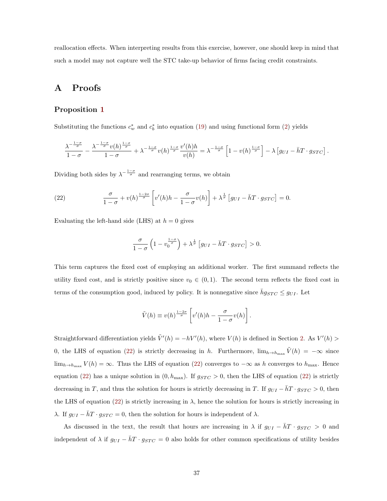reallocation effects. When interpreting results from this exercise, however, one should keep in mind that such a model may not capture well the STC take-up behavior of firms facing credit constraints.

### <span id="page-38-0"></span>**A Proofs**

### **Proposition [1](#page-12-1)**

Substituting the functions  $c_w^*$  and  $c_b^*$  into equation [\(19](#page-12-0)) and using functional form [\(2](#page-7-0)) yields

$$
\frac{\lambda^{-\frac{1-\sigma}{\sigma}}}{1-\sigma}-\frac{\lambda^{-\frac{1-\sigma}{\sigma}}v(h)^{\frac{1-\sigma}{\sigma}}}{1-\sigma}+\lambda^{-\frac{1-\sigma}{\sigma}}v(h)^{\frac{1-\sigma}{\sigma}}\frac{v'(h)h}{v(h)}=\lambda^{-\frac{1-\sigma}{\sigma}}\left[1-v(h)^{\frac{1-\sigma}{\sigma}}\right]-\lambda\left[ g_{UI}-\bar{h}T\cdot g_{STC}\right].
$$

Dividing both sides by  $\lambda^{-\frac{1-\sigma}{\sigma}}$  and rearranging terms, we obtain

(22) 
$$
\frac{\sigma}{1-\sigma} + v(h)^{\frac{1-2\sigma}{\sigma}} \left[ v'(h)h - \frac{\sigma}{1-\sigma}v(h) \right] + \lambda^{\frac{1}{\sigma}} \left[ g_{UI} - \bar{h}T \cdot g_{STC} \right] = 0.
$$

Evaluating the left-hand side (LHS) at  $h = 0$  gives

<span id="page-38-1"></span>
$$
\frac{\sigma}{1-\sigma}\left(1-v_0^{\frac{1-\sigma}{\sigma}}\right) + \lambda^{\frac{1}{\sigma}}\left[ g_{UI} - \bar{h}T \cdot g_{STC} \right] > 0.
$$

This term captures the fixed cost of employing an additional worker. The first summand reflects the utility fixed cost, and is strictly positive since  $v_0 \in (0,1)$ . The second term reflects the fixed cost in terms of the consumption good, induced by policy. It is nonnegative since  $\bar{h}g_{STC} \leq g_{UI}$ . Let

$$
\tilde{V}(h) \equiv v(h)^{\frac{1-2\sigma}{\sigma}} \left[ v'(h)h - \frac{\sigma}{1-\sigma}v(h) \right].
$$

Straightforward differentiation yields  $\tilde{V}'(h) = -hV'(h)$ , where  $V(h)$  is defined in Section [2.](#page-6-0) As  $V'(h)$ 0,the LHS of equation ([22\)](#page-38-1) is strictly decreasing in *h*. Furthermore,  $\lim_{h\to h_{\text{max}}} \tilde{V}(h) = -\infty$  since lim<sub>*h*→*h*<sub>max</sub> $V(h) = ∞$ . Thus the LHS of equation ([22\)](#page-38-1) converges to  $-\infty$  as *h* converges to *h*<sub>max</sub>. Hence</sub> equation([22\)](#page-38-1) has a unique solution in  $(0, h_{\text{max}})$ . If  $g_{STC} > 0$ , then the LHS of equation [\(22](#page-38-1)) is strictly decreasing in *T*, and thus the solution for hours is strictly decreasing in *T*. If  $g_{UI} - \bar{h}T \cdot g_{STC} > 0$ , then the LHS of equation [\(22](#page-38-1)) is strictly increasing in  $\lambda$ , hence the solution for hours is strictly increasing in *λ*. If  $g_{UI} - hT \cdot g_{STC} = 0$ , then the solution for hours is independent of  $λ$ .

As discussed in the text, the result that hours are increasing in  $\lambda$  if  $g_{UI} - \bar{h}T \cdot g_{STC} > 0$  and independent of  $\lambda$  if  $g_{UI} - \bar{h}T \cdot g_{STC} = 0$  also holds for other common specifications of utility besides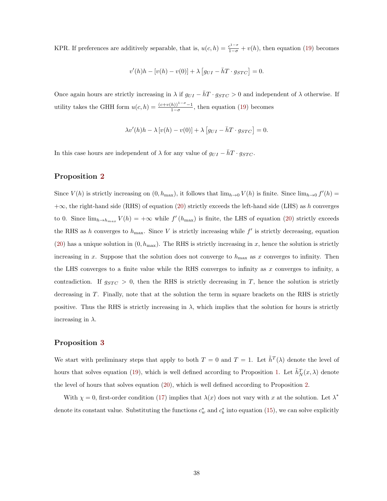KPR. If preferences are additively separable, that is,  $u(c, h) = \frac{c^{1-\sigma}}{1-\sigma} + v(h)$ , then equation [\(19](#page-12-0)) becomes

$$
v'(h)h - [v(h) - v(0)] + \lambda [g_{UI} - \bar{h}T \cdot g_{STC}] = 0.
$$

Once again hours are strictly increasing in  $\lambda$  if  $g_{UI} - \bar{h}T \cdot g_{STC} > 0$  and independent of  $\lambda$  otherwise. If utilitytakes the GHH form  $u(c, h) = \frac{(c+v(h))^{1-\sigma}-1}{1-\sigma}$ , then equation ([19\)](#page-12-0) becomes

$$
\lambda v'(h)h - \lambda \left[ v(h) - v(0) \right] + \lambda \left[ g_{UI} - \bar{h}T \cdot g_{STC} \right] = 0.
$$

In this case hours are independent of  $\lambda$  for any value of  $g_{UI} - \bar{h}T \cdot g_{STC}$ .

### **Proposition [2](#page-13-2)**

Since  $V(h)$  is strictly increasing on  $(0, h_{\max})$ , it follows that  $\lim_{h\to 0} V(h)$  is finite. Since  $\lim_{h\to 0} f'(h) =$ +*∞*, the right-hand side (RHS) of equation([20\)](#page-13-1) strictly exceeds the left-hand side (LHS) as *h* converges to0. Since  $\lim_{h\to h_{max}} V(h) = +\infty$  while  $f'(h_{max})$  is finite, the LHS of equation ([20\)](#page-13-1) strictly exceeds the RHS as *h* converges to  $h_{\text{max}}$ . Since *V* is strictly increasing while  $f'$  is strictly decreasing, equation ([20\)](#page-13-1) has a unique solution in  $(0, h_{\text{max}})$ . The RHS is strictly increasing in *x*, hence the solution is strictly increasing in  $x$ . Suppose that the solution does not converge to  $h_{\text{max}}$  as  $x$  converges to infinity. Then the LHS converges to a finite value while the RHS converges to infinity as *x* converges to infinity, a contradiction. If  $g_{STC} > 0$ , then the RHS is strictly decreasing in *T*, hence the solution is strictly decreasing in *T*. Finally, note that at the solution the term in square brackets on the RHS is strictly positive. Thus the RHS is strictly increasing in  $\lambda$ , which implies that the solution for hours is strictly increasing in *λ*.

### **Proposition [3](#page-13-3)**

We start with preliminary steps that apply to both  $T = 0$  and  $T = 1$ . Let  $\tilde{h}^{T}(\lambda)$  denote the level of hoursthat solves equation ([19\)](#page-12-0), which is well defined according to Proposition [1.](#page-12-1) Let  $\tilde{h}^T_N(x,\lambda)$  denote the level of hours that solves equation([20\)](#page-13-1), which is well defined according to Proposition [2](#page-13-2).

With $\chi = 0$ , first-order condition ([17\)](#page-11-6) implies that  $\lambda(x)$  does not vary with x at the solution. Let  $\lambda^*$ denoteits constant value. Substituting the functions  $c_w^*$  and  $c_b^*$  into equation ([15\)](#page-11-4), we can solve explicitly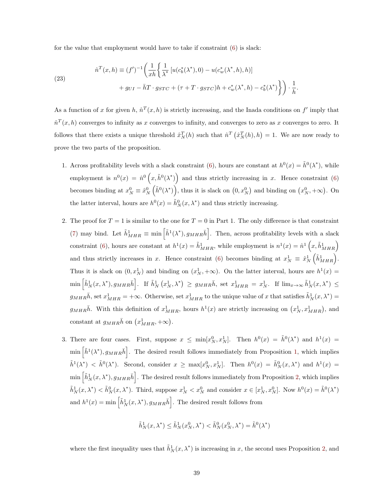for the value that employment would have to take if constraint  $(6)$  is slack:

(23)  

$$
\hat{n}^{T}(x,h) \equiv (f')^{-1} \left( \frac{1}{xh} \left\{ \frac{1}{\lambda^{*}} \left[ u(c_{b}^{*}(\lambda^{*}),0) - u(c_{w}^{*}(\lambda^{*},h),h) \right] + g_{UI} - \bar{h}T \cdot g_{STC} + (\tau + T \cdot g_{STC})h + c_{w}^{*}(\lambda^{*},h) - c_{b}^{*}(\lambda^{*}) \right\} \right) \cdot \frac{1}{h}
$$

As a function of x for given h,  $\hat{n}^T(x, h)$  is strictly increasing, and the Inada conditions on  $f'$  imply that  $\hat{n}^T(x,h)$  converges to infinity as *x* converges to infinity, and converges to zero as *x* converges to zero. It follows that there exists a unique threshold  $\hat{x}_N^T(h)$  such that  $\hat{n}^T(\hat{x}_N^T(h), h) = 1$ . We are now ready to prove the two parts of the proposition.

<span id="page-40-0"></span>*.*

- 1.Across profitability levels with a slack constraint ([6\)](#page-9-2), hours are constant at  $h^0(x) = \tilde{h}^0(\lambda^*)$ , while employmentis  $n^0(x) = \hat{n}^0(x, \tilde{h}^0(\lambda^*))$  and thus strictly increasing in *x*. Hence constraint ([6\)](#page-9-2) becomes binding at  $x_N^0 \equiv \hat{x}_N^0 \left( \tilde{h}^0(\lambda^*) \right)$ , thus it is slack on  $(0, x_N^0)$  and binding on  $(x_N^0, +\infty)$ . On the latter interval, hours are  $h^0(x) = \tilde{h}^0_N(x, \lambda^*)$  and thus strictly increasing.
- 2. The proof for  $T = 1$  is similar to the one for  $T = 0$  in Part 1. The only difference is that constraint ([7\)](#page-9-4) may bind. Let  $\tilde{h}_{MHR}^1 \equiv \min \left[ \tilde{h}^1(\lambda^*) , g_{MHR} \bar{h} \right]$ . Then, across profitability levels with a slack constraint([6\)](#page-9-2), hours are constant at  $h^1(x) = \tilde{h}_{MHR}^1$ , while employment is  $n^1(x) = \hat{n}^1(x, \tilde{h}_{MHR}^1)$ and thus strictly increases in *x*. Hence constraint [\(6](#page-9-2)) becomes binding at  $x_N^1 \equiv \hat{x}_N^1 \left( \tilde{h}_{MHR}^1 \right)$ . Thus it is slack on  $(0, x_N^1)$  and binding on  $(x_N^1, +\infty)$ . On the latter interval, hours are  $h^1(x)$  $\min\left[\tilde{h}_N^1(x,\lambda^*),g_{MHR}\bar{h}\right].\;\;\text{If}\;\;\tilde{h}_N^1\left(x_N^1,\lambda^*\right)\;\geq\;g_{MHR}\bar{h},\;\text{set}\;\;x_{MHR}^1\;=\;x_N^1.\;\;\;\text{If}\;\lim_{x\to\infty}\tilde{h}_N^1(x,\lambda^*)\;\leq\;x_N^1\bar{h}_N^2\bar{h}_N^2.$  $g_{MHR}\bar{h}$ , set  $x_{MHR}^1 = +\infty$ . Otherwise, set  $x_{MHR}^1$  to the unique value of *x* that satisfies  $\tilde{h}_N^1(x, \lambda^*) =$  $g_{MHR}\bar{h}$ . With this definition of  $x_{MHR}^1$ , hours  $h^1(x)$  are strictly increasing on  $(x_N^1, x_{MHR}^1)$ , and constant at  $g_{MHR}\bar{h}$  on  $(x_{MHR}^1, +\infty)$ .
- 3. There are four cases. First, suppose  $x \le \min[x_N^0, x_N^1]$ . Then  $h^0(x) = \tilde{h}^0(\lambda^*)$  and  $h^1(x) =$  $\min\left[\tilde{h}^1(\lambda^*), g_{MHR}\bar{h}\right]$  $\min\left[\tilde{h}^1(\lambda^*), g_{MHR}\bar{h}\right]$  $\min\left[\tilde{h}^1(\lambda^*), g_{MHR}\bar{h}\right]$ . The desired result follows immediately from Proposition 1, which implies  $\tilde{h}^1(\lambda^*) \leq \tilde{h}^0(\lambda^*)$ . Second, consider  $x \geq \max[x_N^0, x_N^1]$ . Then  $h^0(x) = \tilde{h}^0_N(x, \lambda^*)$  and  $h^1(x) =$  $\min\left[\tilde{h}_{N}^{1}(x,\lambda^{*}),g_{MHR}\bar{h}\right]$ . The desired result follows immediately from Proposition [2,](#page-13-2) which implies  $\tilde{h}_N^1(x, \lambda^*) < \tilde{h}_N^0(x, \lambda^*)$ . Third, suppose  $x_N^1 < x_N^0$  and consider  $x \in [x_N^1, x_N^0]$ . Now  $h^0(x) = \tilde{h}^0(\lambda^*)$ and  $h^1(x) = \min \left[ \tilde{h}_N^1(x, \lambda^*)$ ,  $g_{MHR} \overline{h} \right]$ . The desired result follows from

$$
\tilde{h}^1_N(x,\lambda^*)\leq \tilde{h}^1_N(x^0_N,\lambda^*)<\tilde{h}^0_N(x^0_N,\lambda^*)=\tilde{h}^0(\lambda^*)
$$

where the first inequality uses that  $\tilde{h}^1_N(x, \lambda^*)$  is increasing in *x*, the second uses Proposition [2,](#page-13-2) and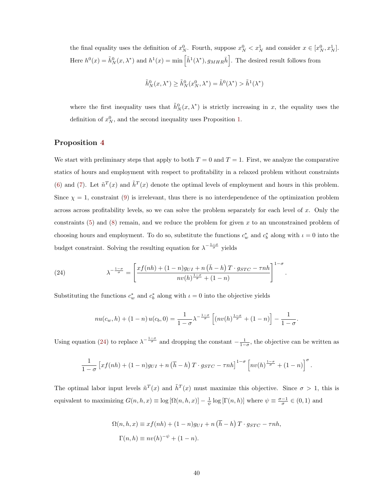the final equality uses the definition of  $x_N^0$ . Fourth, suppose  $x_N^0 < x_N^1$  and consider  $x \in [x_N^0, x_N^1]$ . Here  $h^0(x) = \tilde{h}_N^0(x, \lambda^*)$  and  $h^1(x) = \min \left[ \tilde{h}^1(\lambda^*)$ ,  $g_{MHR} \overline{h} \right]$ . The desired result follows from

$$
\tilde{h}^0_N(x,\lambda^*)\geq \tilde{h}^0_N(x^0_N,\lambda^*)=\tilde{h}^0(\lambda^*)>\tilde{h}^1(\lambda^*)
$$

where the first inequality uses that  $\tilde{h}^0_N(x, \lambda^*)$  is strictly increasing in *x*, the equality uses the definition of  $x_N^0$ , and the second inequality uses Proposition [1](#page-12-1).

### **Proposition [4](#page-16-0)**

We start with preliminary steps that apply to both  $T = 0$  and  $T = 1$ . First, we analyze the comparative statics of hours and employment with respect to profitability in a relaxed problem without constraints ([6\)](#page-9-2)and ([7\)](#page-9-4). Let  $\tilde{n}^T(x)$  and  $\tilde{h}^T(x)$  denote the optimal levels of employment and hours in this problem. Since $\chi = 1$ , constraint ([9\)](#page-9-0) is irrelevant, thus there is no interdependence of the optimization problem across across profitability levels, so we can solve the problem separately for each level of *x*. Only the constraints([5\)](#page-9-3) and([8\)](#page-9-1) remain, and we reduce the problem for given *x* to an unconstrained problem of choosing hours and employment. To do so, substitute the functions  $c_w^*$  and  $c_b^*$  along with  $\iota = 0$  into the budget constraint. Solving the resulting equation for  $\lambda^{-\frac{1-\sigma}{\sigma}}$  yields

(24) 
$$
\lambda^{-\frac{1-\sigma}{\sigma}} = \left[ \frac{xf(nh) + (1-n)g_{UI} + n(\bar{h} - h)T \cdot g_{STC} - \tau nh}{nv(h)^{\frac{1-\sigma}{\sigma}} + (1-n)} \right]^{1-\sigma}.
$$

Substituting the functions  $c^*_{w}$  and  $c^*_{b}$  along with  $\iota = 0$  into the objective yields

$$
nu(c_w, h) + (1 - n) u(c_b, 0) = \frac{1}{1 - \sigma} \lambda^{-\frac{1 - \sigma}{\sigma}} \left[ (nv(h)^{\frac{1 - \sigma}{\sigma}} + (1 - n)) \right] - \frac{1}{1 - \sigma}
$$

<span id="page-41-0"></span>*.*

Using equation [\(24](#page-41-0)) to replace  $\lambda^{-\frac{1-\sigma}{\sigma}}$  and dropping the constant  $-\frac{1}{1-\sigma}$ , the objective can be written as

$$
\frac{1}{1-\sigma}\left[xf(nh) + (1-n)g_{UI} + n(\overline{h}-h)T \cdot g_{STC} - \tau nh\right]^{1-\sigma}\left[nv(h)^{\frac{1-\sigma}{\sigma}} + (1-n)\right]^{\sigma}.
$$

The optimal labor input levels  $\tilde{n}^T(x)$  and  $\tilde{h}^T(x)$  must maximize this objective. Since  $\sigma > 1$ , this is equivalent to maximizing  $G(n, h, x) \equiv \log [\Omega(n, h, x)] - \frac{1}{\psi} \log [\Gamma(n, h)]$  where  $\psi \equiv \frac{\sigma - 1}{\sigma} \in (0, 1)$  and

$$
\Omega(n, h, x) \equiv xf(nh) + (1 - n)g_{UI} + n(\overline{h} - h)T \cdot g_{STC} - \tau nh,
$$
  

$$
\Gamma(n, h) \equiv nv(h)^{-\psi} + (1 - n).
$$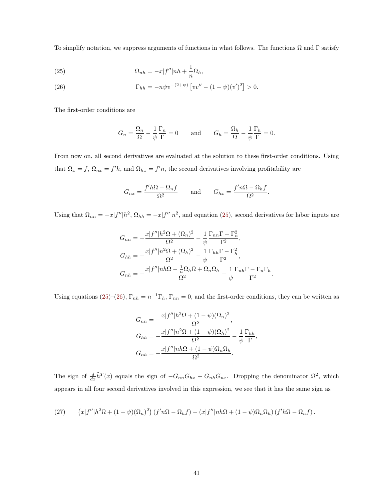To simplify notation, we suppress arguments of functions in what follows. The functions  $\Omega$  and  $\Gamma$  satisfy

<span id="page-42-0"></span>(25) 
$$
\Omega_{nh} = -x[f''|nh + \frac{1}{n}\Omega_h,
$$

<span id="page-42-1"></span>(26) 
$$
\Gamma_{hh} = -n\psi v^{-(2+\psi)} \left[ v v'' - (1+\psi)(v')^2 \right] > 0.
$$

The first-order conditions are

$$
G_n = \frac{\Omega_n}{\Omega} - \frac{1}{\psi} \frac{\Gamma_n}{\Gamma} = 0 \quad \text{and} \quad G_h = \frac{\Omega_h}{\Omega} - \frac{1}{\psi} \frac{\Gamma_h}{\Gamma} = 0.
$$

From now on, all second derivatives are evaluated at the solution to these first-order conditions. Using that  $\Omega_x = f$ ,  $\Omega_{nx} = f'h$ , and  $\Omega_{hx} = f'h$ , the second derivatives involving profitability are

$$
G_{nx} = \frac{f'h\Omega - \Omega_nf}{\Omega^2} \quad \text{and} \quad G_{hx} = \frac{f'n\Omega - \Omega_nf}{\Omega^2}.
$$

Usingthat  $\Omega_{nn} = -x|f''|h^2$ ,  $\Omega_{hh} = -x|f''|n^2$ , and equation ([25\)](#page-42-0), second derivatives for labor inputs are

$$
G_{nn} = -\frac{x|f''|h^2\Omega + (\Omega_n)^2}{\Omega^2} - \frac{1}{\psi} \frac{\Gamma_{nn}\Gamma - \Gamma_n^2}{\Gamma^2},
$$
  
\n
$$
G_{hh} = -\frac{x|f''|n^2\Omega + (\Omega_h)^2}{\Omega^2} - \frac{1}{\psi} \frac{\Gamma_{hh}\Gamma - \Gamma_h^2}{\Gamma^2},
$$
  
\n
$$
G_{nh} = -\frac{x|f''|nh\Omega - \frac{1}{n}\Omega_h\Omega + \Omega_n\Omega_h}{\Omega^2} - \frac{1}{\psi} \frac{\Gamma_{nh}\Gamma - \Gamma_n\Gamma_h}{\Gamma^2}
$$

Usingequations ([25\)](#page-42-0)–[\(26](#page-42-1)),  $\Gamma_{nh} = n^{-1}\Gamma_h$ ,  $\Gamma_{nn} = 0$ , and the first-order conditions, they can be written as

<span id="page-42-2"></span>*.*

$$
G_{nn} = -\frac{x|f''|h^2\Omega + (1-\psi)(\Omega_n)^2}{\Omega^2},
$$
  
\n
$$
G_{hh} = -\frac{x|f''|n^2\Omega + (1-\psi)(\Omega_h)^2}{\Omega^2} - \frac{1}{\psi}\frac{\Gamma_{hh}}{\Gamma},
$$
  
\n
$$
G_{nh} = -\frac{x|f''|nh\Omega + (1-\psi)\Omega_n\Omega_h}{\Omega^2}.
$$

The sign of  $\frac{d}{dx}\tilde{h}^T(x)$  equals the sign of  $-G_{nn}G_{hx} + G_{nh}G_{nx}$ . Dropping the denominator  $\Omega^2$ , which appears in all four second derivatives involved in this expression, we see that it has the same sign as

(27) 
$$
(x|f''|h^{2}\Omega + (1-\psi)(\Omega_{n})^{2}) (f'n\Omega - \Omega_{h}f) - (x|f''|nh\Omega + (1-\psi)\Omega_{n}\Omega_{h}) (f'h\Omega - \Omega_{n}f).
$$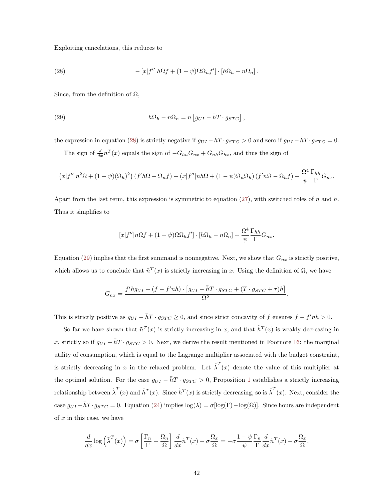<span id="page-43-0"></span>Exploiting cancelations, this reduces to

(28) 
$$
- [x]f''|h\Omega f + (1 - \psi)\Omega \Omega_n f'] \cdot [h\Omega_h - n\Omega_n].
$$

<span id="page-43-1"></span>Since, from the definition of  $\Omega$ ,

(29) 
$$
h\Omega_h - n\Omega_n = n \left[ g_{UI} - \bar{h}T \cdot g_{STC} \right],
$$

the expression in equation [\(28](#page-43-0)) is strictly negative if  $g_{UI} - \bar{h}T \cdot g_{STC} > 0$  and zero if  $g_{UI} - \bar{h}T \cdot g_{STC} = 0$ .

The sign of  $\frac{d}{dx} \tilde{n}^T(x)$  equals the sign of  $-G_{hh}G_{nx} + G_{nh}G_{hx}$ , and thus the sign of

$$
(x|f''|n^2\Omega + (1-\psi)(\Omega_h)^2) (f'h\Omega - \Omega_nf) - (x|f''|nh\Omega + (1-\psi)\Omega_n\Omega_h) (f'n\Omega - \Omega_hf) + \frac{\Omega^4}{\psi} \frac{\Gamma_{hh}}{\Gamma} G_{nx}.
$$

Apart from the last term, this expression is symmetric to equation [\(27](#page-42-2)), with switched roles of *n* and *h*. Thus it simplifies to

$$
[x|f''|n\Omega f + (1-\psi)\Omega\Omega_h f'] \cdot [h\Omega_h - n\Omega_n] + \frac{\Omega^4}{\psi} \frac{\Gamma_{hh}}{\Gamma} G_{nx}.
$$

Equation [\(29](#page-43-1)) implies that the first summand is nonnegative. Next, we show that  $G_{nx}$  is strictly positive, which allows us to conclude that  $\tilde{n}^T(x)$  is strictly increasing in *x*. Using the definition of  $\Omega$ , we have

$$
G_{nx} = \frac{f'hg_{UI} + (f - f'nh) \cdot [g_{UI} - \bar{h}T \cdot g_{STC} + (T \cdot g_{STC} + \tau)h]}{\Omega^2}.
$$

This is strictly positive as  $g_{UI} - \bar{h}T \cdot g_{STC} \geq 0$ , and since strict concavity of *f* ensures  $f - f'nh > 0$ .

So far we have shown that  $\tilde{n}^T(x)$  is strictly increasing in *x*, and that  $\tilde{h}^T(x)$  is weakly decreasing in *x*, strictly so if  $g_{UI} - \bar{h}T \cdot g_{STC} > 0$ . Next, we derive the result mentioned in Footnote [16](#page-16-2): the marginal utility of consumption, which is equal to the Lagrange multiplier associated with the budget constraint, is strictly decreasing in *x* in the relaxed problem. Let  $\tilde{\lambda}^T(x)$  denote the value of this multiplier at the optimal solution. For the case  $g_{UI} - \bar{h}T \cdot g_{STC} > 0$ , Proposition [1](#page-12-1) establishes a strictly increasing relationship between  $\tilde{\lambda}^T(x)$  and  $\tilde{h}^T(x)$ . Since  $\tilde{h}^T(x)$  is strictly decreasing, so is  $\tilde{\lambda}^T(x)$ . Next, consider the case  $g_{UI} - \bar{h}T \cdot g_{STC} = 0$ . Equation [\(24](#page-41-0)) implies  $\log(\lambda) = \sigma \log(\Gamma) - \log(\Omega)$ . Since hours are independent of *x* in this case, we have

$$
\frac{d}{dx}\log\left(\tilde{\lambda}^T(x)\right) = \sigma\left[\frac{\Gamma_n}{\Gamma} - \frac{\Omega_n}{\Omega}\right] \frac{d}{dx}\tilde{n}^T(x) - \sigma\frac{\Omega_x}{\Omega} = -\sigma\frac{1-\psi}{\psi}\frac{\Gamma_n}{\Gamma}\frac{d}{dx}\tilde{n}^T(x) - \sigma\frac{\Omega_x}{\Omega},
$$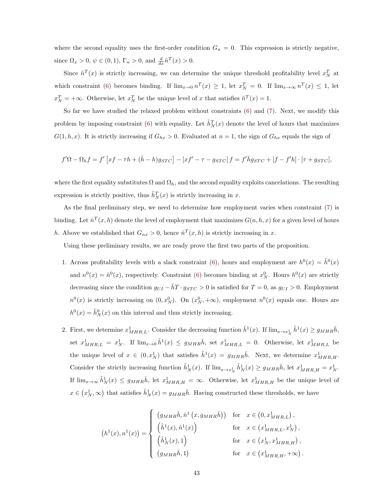where the second equality uses the first-order condition  $G_n = 0$ . This expression is strictly negative, since  $\Omega_x > 0$ ,  $\psi \in (0, 1)$ ,  $\Gamma_n > 0$ , and  $\frac{d}{dx} \tilde{n}^T(x) > 0$ .

Since  $\tilde{n}^T(x)$  is strictly increasing, we can determine the unique threshold profitability level  $x_N^T$  at which constraint [\(6](#page-9-2)) becomes binding. If  $\lim_{x\to 0} n^T(x) \ge 1$ , let  $x_N^T = 0$ . If  $\lim_{x\to \infty} n^T(x) \le 1$ , let  $x_N^T$  = +*∞*. Otherwise, let  $x_N^T$  be the unique level of *x* that satisfies  $\tilde{n}^T(x) = 1$ .

So far we have studied the relaxed problem without constraints([6\)](#page-9-2) and [\(7](#page-9-4)). Next, we modify this problemby imposing constraint ([6\)](#page-9-2) with equality. Let  $\tilde{h}_N^T(x)$  denote the level of hours that maximizes *G*(1, *h*, *x*). It is strictly increasing if  $G_{hx} > 0$ . Evaluated at  $n = 1$ , the sign of  $G_{hx}$  equals the sign of

$$
f'\Omega - \Omega_h f = f'\left[xf - \tau h + (\bar{h} - h)g_{STC}\right] - \left[xf' - \tau - g_{STC}\right]f = f'\bar{h}g_{STC} + \left[f - f'h\right] \cdot \left[\tau + g_{STC}\right],
$$

where the first equality substitutes  $\Omega$  and  $\Omega_h$ , and the second equality exploits cancelations. The resulting expression is strictly positive, thus  $\tilde{h}_N^T(x)$  is strictly increasing in *x*.

As the final preliminary step, we need to determine how employment varies when constraint([7](#page-9-4)) is binding. Let  $\hat{n}^T(x, h)$  denote the level of employment that maximizes  $G(n, h, x)$  for a given level of hours *h*. Above we established that  $G_{nx} > 0$ , hence  $\hat{n}^T(x, h)$  is strictly increasing in *x*.

Using these preliminary results, we are ready prove the first two parts of the proposition.

- 1. Across profitability levels with a slack constraint [\(6](#page-9-2)), hours and employment are  $h^0(x) = \tilde{h}^0(x)$ and  $n^0(x) = \tilde{n}^0(x)$ , respectively. Constraint [\(6](#page-9-2)) becomes binding at  $x_N^0$ . Hours  $h^0(x)$  are strictly decreasing since the condition  $g_{UI} - hT \cdot g_{STC} > 0$  is satisfied for  $T = 0$ , as  $g_{UI} > 0$ . Employment  $n^0(x)$  is strictly increasing on  $(0, x_N^0)$ . On  $(x_N^0, +\infty)$ , employment  $n^0(x)$  equals one. Hours are  $h^0(x) = \tilde{h}^0_N(x)$  on this interval and thus strictly increasing.
- 2. First, we determine  $x_{MHR,L}^1$ . Consider the decreasing function  $\tilde{h}^1(x)$ . If  $\lim_{x\to x_N^1} \tilde{h}^1(x) \ge g_{MHR}\tilde{h}$ ,  $x_{MHR,L}^1 = x_N^1$ . If  $\lim_{x\to 0} \tilde{h}^1(x) \leq g_{MHR}\bar{h}$ , set  $x_{MHR,L}^1 = 0$ . Otherwise, let  $x_{MHR,L}^1$  be the unique level of  $x \in (0, x_N^1)$  that satisfies  $\tilde{h}^1(x) = g_{MHR}\overline{h}$ . Next, we determine  $x_{MHR,H}^1$ . Consider the strictly increasing function  $\tilde{h}_N^1(x)$ . If  $\lim_{x\to x_N^1} \tilde{h}_N^1(x) \ge g_{MHR} \bar{h}$ , let  $x_{MHR,H}^1 = x_N^1$ . If  $\lim_{x\to\infty} \tilde{h}_N^1(x) \leq g_{MHR}\bar{h}$ , let  $x_{MHR,H}^1 = \infty$ . Otherwise, let  $x_{MHR,H}^1$  be the unique level of  $x \in (x_N^1, \infty)$  that satisfies  $\tilde{h}_N^1(x) = g_{MHR}\overline{h}$ . Having constructed these thresholds, we have

$$
(h^{1}(x), n^{1}(x)) = \begin{cases} (g_{MHR}\bar{h}, \hat{n}^{1}(x, g_{MHR}\bar{h})) & \text{for } x \in (0, x_{MHR,L}^{1}), \\ (\tilde{h}^{1}(x), \tilde{n}^{1}(x)) & \text{for } x \in (x_{MHR,L}^{1}, x_{N}^{1}), \\ (\tilde{h}_{N}^{1}(x), 1) & \text{for } x \in (x_{N}^{1}, x_{MHR,H}^{1}), \\ (g_{MHR}\bar{h}, 1) & \text{for } x \in (x_{MHR,H}^{1}, +\infty). \end{cases}
$$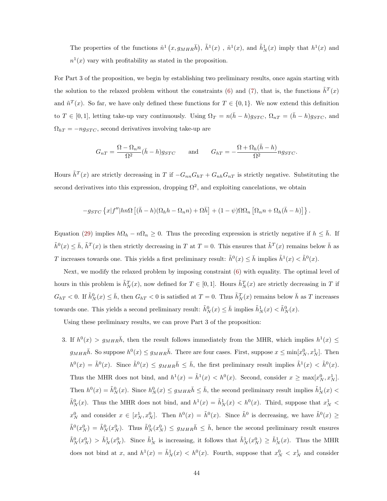The properties of the functions  $\hat{n}^1(x, g_{MHR}\overline{h})$ ,  $\tilde{h}^1(x)$ ,  $\tilde{n}^1(x)$ , and  $\tilde{h}^1_N(x)$  imply that  $h^1(x)$  and  $n<sup>1</sup>(x)$  vary with profitability as stated in the proposition.

For Part 3 of the proposition, we begin by establishing two preliminary results, once again starting with thesolution to the relaxed problem without the constraints ([6\)](#page-9-2) and [\(7](#page-9-4)), that is, the functions  $\tilde{h}^T(x)$ and  $\tilde{n}^T(x)$ . So far, we have only defined these functions for  $T \in \{0,1\}$ . We now extend this definition to  $T \in [0, 1]$ , letting take-up vary continuously. Using  $\Omega_T = n(\bar{h} - h)g_{STC}$ ,  $\Omega_{nT} = (\bar{h} - h)g_{STC}$ , and  $\Omega_{hT} = -ng_{STC}$ , second derivatives involving take-up are

$$
G_{nT} = \frac{\Omega - \Omega_n n}{\Omega^2} (\bar{h} - h) g_{STC} \quad \text{and} \quad G_{hT} = -\frac{\Omega + \Omega_h (\bar{h} - h)}{\Omega^2} n g_{STC}.
$$

Hours  $\tilde{h}^T(x)$  are strictly decreasing in *T* if  $-G_{nn}G_{hT} + G_{nh}G_{nT}$  is strictly negative. Substituting the second derivatives into this expression, dropping  $\Omega^2$ , and exploiting cancelations, we obtain

$$
-g_{STC}\left\{x|f''|hn\Omega\left[(\bar{h}-h)(\Omega_h h-\Omega_n n)+\Omega\bar{h}\right]+(1-\psi)\Omega\Omega_n\left[\Omega_n n+\Omega_h(\bar{h}-h)\right]\right\}.
$$

Equation [\(29](#page-43-1)) implies  $h\Omega_h - n\Omega_n \geq 0$ . Thus the preceding expression is strictly negative if  $h \leq \bar{h}$ . If  $\tilde{h}^{0}(x) \leq \bar{h}$ ,  $\tilde{h}^{T}(x)$  is then strictly decreasing in *T* at *T* = 0. This ensures that  $\tilde{h}^{T}(x)$  remains below  $\bar{h}$  as *T* increases towards one. This yields a first preliminary result:  $\tilde{h}^0(x) \leq \bar{h}$  implies  $\tilde{h}^1(x) < \tilde{h}^0(x)$ .

Next, we modify the relaxed problem by imposing constraint([6](#page-9-2)) with equality. The optimal level of hours in this problem is  $\tilde{h}_N^T(x)$ , now defined for  $T \in [0,1]$ . Hours  $\tilde{h}_N^T(x)$  are strictly decreasing in *T* if  $G_{hT} < 0$ . If  $\tilde{h}^0_N(x) \leq \bar{h}$ , then  $G_{hT} < 0$  is satisfied at  $T = 0$ . Thus  $\tilde{h}^T_N(x)$  remains below  $\bar{h}$  as T increases towards one. This yields a second preliminary result:  $\tilde{h}_N^0(x) \leq \bar{h}$  implies  $\tilde{h}_N^1(x) < \tilde{h}_N^0(x)$ .

Using these preliminary results, we can prove Part 3 of the proposition:

3. If  $h^0(x) > g_{MHR}\overline{h}$ , then the result follows immediately from the MHR, which implies  $h^1(x) \leq$  $g_{MHR}\bar{h}$ . So suppose  $h^0(x) \leq g_{MHR}\bar{h}$ . There are four cases. First, suppose  $x \leq \min[x_N^0, x_N^1]$ . Then  $h^0(x) = \tilde{h}^0(x)$ . Since  $\tilde{h}^0(x) \leq g_{MHR}\overline{h} \leq \overline{h}$ , the first preliminary result implies  $\tilde{h}^1(x) < \tilde{h}^0(x)$ . Thus the MHR does not bind, and  $h^1(x) = \tilde{h}^1(x) < h^0(x)$ . Second, consider  $x \ge \max[x_N^0, x_N^1]$ . Then  $h^0(x) = \tilde{h}^0_N(x)$ . Since  $h^0_N(x) \le g_{MHR} \bar{h} \le \bar{h}$ , the second preliminary result implies  $\tilde{h}^1_N(x)$  $\tilde{h}_N^0(x)$ . Thus the MHR does not bind, and  $h^1(x) = \tilde{h}_N^1(x) < h^0(x)$ . Third, suppose that  $x_N^1$  $x_N^0$  and consider  $x \in [x_N^1, x_N^0]$ . Then  $h^0(x) = \tilde{h}^0(x)$ . Since  $\tilde{h}^0$  is decreasing, we have  $\tilde{h}^0(x) \ge$  $\tilde{h}^0(x_N^0) = \tilde{h}_N^0(x_N^0)$ . Thus  $\tilde{h}_N^0(x_N^0) \leq g_{MHR} \bar{h} \leq \bar{h}$ , hence the second preliminary result ensures  $\tilde{h}_N^0(x_N^0) > \tilde{h}_N^1(x_N^0)$ . Since  $\tilde{h}_N^1$  is increasing, it follows that  $\tilde{h}_N^1(x_N^0) \geq \tilde{h}_N^1(x)$ . Thus the MHR does not bind at *x*, and  $h^1(x) = \tilde{h}^1_N(x) < h^0(x)$ . Fourth, suppose that  $x_N^0 < x_N^1$  and consider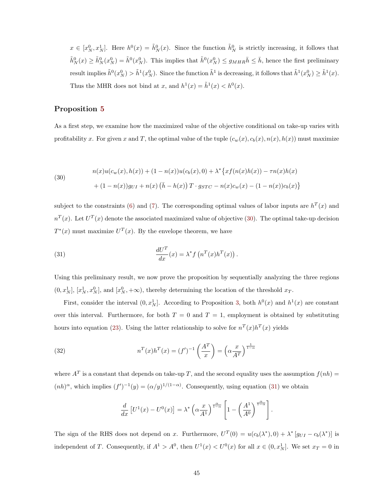$x \in [x_N^0, x_N^1]$ . Here  $h^0(x) = \tilde{h}_N^0(x)$ . Since the function  $\tilde{h}_N^0$  is strictly increasing, it follows that  $\tilde{h}_N^0(x) \geq \tilde{h}_N^0(x_N^0) = \tilde{h}^0(x_N^0)$ . This implies that  $\tilde{h}^0(x_N^0) \leq g_{MHR} \overline{h} \leq \overline{h}$ , hence the first preliminary result implies  $\tilde{h}^0(x_N^0) > \tilde{h}^1(x_N^0)$ . Since the function  $\tilde{h}^1$  is decreasing, it follows that  $\tilde{h}^1(x_N^0) \geq \tilde{h}^1(x)$ . Thus the MHR does not bind at *x*, and  $h^1(x) = \tilde{h}^1(x) < h^0(x)$ .

### **Proposition [5](#page-18-1)**

<span id="page-46-0"></span>As a first step, we examine how the maximized value of the objective conditional on take-up varies with profitability *x*. For given *x* and *T*, the optimal value of the tuple  $(c_w(x), c_b(x), n(x), h(x))$  must maximize

(30)  

$$
n(x)u(c_w(x),h(x)) + (1 - n(x))u(c_b(x),0) + \lambda^* \{xf(n(x)h(x)) - \tau n(x)h(x) + (1 - n(x))g_{UI} + n(x)(\bar{h} - h(x))T \cdot g_{STC} - n(x)c_w(x) - (1 - n(x))c_b(x)\}
$$

<span id="page-46-1"></span>subjectto the constraints ([6\)](#page-9-2) and [\(7](#page-9-4)). The corresponding optimal values of labor inputs are  $h^T(x)$  and  $n<sup>T</sup>(x)$ .Let  $U<sup>T</sup>(x)$  denote the associated maximized value of objective ([30\)](#page-46-0). The optimal take-up decision  $T^*(x)$  must maximize  $U^T(x)$ . By the envelope theorem, we have

(31) 
$$
\frac{dU^T}{dx}(x) = \lambda^* f\left(n^T(x)h^T(x)\right).
$$

Using this preliminary result, we now prove the proposition by sequentially analyzing the three regions  $(0, x_N^1]$ ,  $[x_N^1, x_N^0]$ , and  $[x_N^0, +\infty)$ , thereby determining the location of the threshold  $x_T$ .

First, consider the interval  $(0, x_N^1]$ . According to Proposition [3](#page-13-3), both  $h^0(x)$  and  $h^1(x)$  are constant over this interval. Furthermore, for both  $T=0$  and  $T=1$ , employment is obtained by substituting hoursinto equation ([23\)](#page-40-0). Using the latter relationship to solve for  $n^T(x)h^T(x)$  yields

(32) 
$$
n^{T}(x)h^{T}(x) = (f')^{-1}\left(\frac{A^{T}}{x}\right) = \left(\alpha \frac{x}{A^{T}}\right)^{\frac{1}{1-\alpha}}
$$

where  $A<sup>T</sup>$  is a constant that depends on take-up *T*, and the second equality uses the assumption  $f(nh)$  $(nh)^\alpha$ ,which implies  $(f')^{-1}(y) = (\alpha/y)^{1/(1-\alpha)}$ . Consequently, using equation ([31\)](#page-46-1) we obtain

<span id="page-46-2"></span>
$$
\frac{d}{dx}\left[U^1(x) - U^0(x)\right] = \lambda^* \left(\alpha \frac{x}{A^1}\right)^{\frac{\alpha}{1-\alpha}} \left[1 - \left(\frac{A^1}{A^0}\right)^{\frac{\alpha}{1-\alpha}}\right].
$$

The sign of the RHS does not depend on x. Furthermore,  $U^T(0) = u(c_b(\lambda^*), 0) + \lambda^* [g_{UI} - c_b(\lambda^*)]$  is independent of *T*. Consequently, if  $A^1 > A^0$ , then  $U^1(x) < U^0(x)$  for all  $x \in (0, x_N^1]$ . We set  $x_T = 0$  in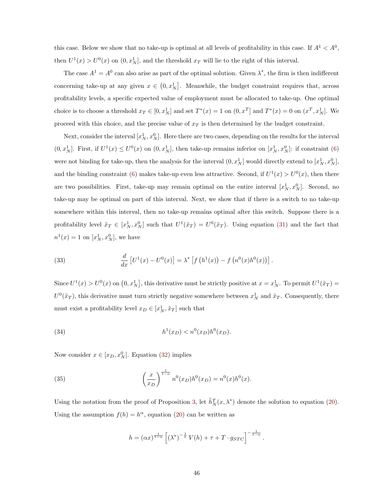this case. Below we show that no take-up is optimal at all levels of profitability in this case. If  $A<sup>1</sup> < A<sup>0</sup>$ , then  $U^1(x) > U^0(x)$  on  $(0, x_N^1]$ , and the threshold  $x_T$  will lie to the right of this interval.

The case  $A^1 = A^0$  can also arise as part of the optimal solution. Given  $\lambda^*$ , the firm is then indifferent concerning take-up at any given  $x \in (0, x_N^1]$ . Meanwhile, the budget constraint requires that, across profitability levels, a specific expected value of employment must be allocated to take-up. One optimal choice is to choose a threshold  $x_T \in [0, x_N^1]$  and set  $T^*(x) = 1$  on  $(0, x^T]$  and  $T^*(x) = 0$  on  $(x^T, x_N^1]$ . We proceed with this choice, and the precise value of *x<sup>T</sup>* is then determined by the budget constraint.

Next, consider the interval  $[x_N^1, x_N^0]$ . Here there are two cases, depending on the results for the interval  $(0, x_N^1]$  $(0, x_N^1]$  $(0, x_N^1]$ . First, if  $U^1(x) \leq U^0(x)$  on  $(0, x_N^1]$ , then take-up remains inferior on  $[x_N^1, x_N^0]$ : if constraint ([6\)](#page-9-2) were not binding for take-up, then the analysis for the interval  $(0, x_N^1]$  would directly extend to  $[x_N^1, x_N^0]$ , and the binding constraint [\(6](#page-9-2)) makes take-up even less attractive. Second, if  $U^1(x) > U^0(x)$ , then there are two possibilities. First, take-up may remain optimal on the entire interval  $[x_N^1, x_N^0]$ . Second, no take-up may be optimal on part of this interval. Next, we show that if there is a switch to no take-up somewhere within this interval, then no take-up remains optimal after this switch. Suppose there is a profitabilitylevel  $\tilde{x}_T \in [x_N^1, x_N^0]$  such that  $U^1(\tilde{x}_T) = U^0(\tilde{x}_T)$ . Using equation ([31\)](#page-46-1) and the fact that  $n^1(x) = 1$  on  $[x_N^1, x_N^0]$ , we have

<span id="page-47-2"></span>(33) 
$$
\frac{d}{dx} [U^1(x) - U^0(x)] = \lambda^* [f(h^1(x)) - f(n^0(x)h^0(x))].
$$

Since  $U^1(x) > U^0(x)$  on  $(0, x_N^1]$ , this derivative must be strictly positive at  $x = x_N^1$ . To permit  $U^1(\tilde{x}_T) =$  $U^0(\tilde{x}_T)$ , this derivative must turn strictly negative somewhere between  $x_N^1$  and  $\tilde{x}_T$ . Consequently, there must exist a profitability level  $x_D \in [x_N^1, \tilde{x}_T]$  such that

(34) 
$$
h^{1}(x_{D}) < n^{0}(x_{D})h^{0}(x_{D}).
$$

Nowconsider  $x \in [x_D, x_N^0]$ . Equation ([32](#page-46-2)) implies

(35) 
$$
\left(\frac{x}{x_D}\right)^{\frac{1}{1-\alpha}} n^0(x_D)h^0(x_D) = n^0(x)h^0(x).
$$

Using the notation from the proof of Proposition [3](#page-13-3),let  $\tilde{h}_N^T(x, \lambda^*)$  denote the solution to equation ([20\)](#page-13-1). Usingthe assumption  $f(h) = h^{\alpha}$ , equation ([20](#page-13-1)) can be written as

<span id="page-47-1"></span>
$$
h = (\alpha x)^{\frac{1}{1-\alpha}} \left[ \left(\lambda^*\right)^{-\frac{1}{\sigma}} V(h) + \tau + T \cdot g_{STC} \right]^{-\frac{1}{1-\alpha}}
$$

<span id="page-47-0"></span>*.*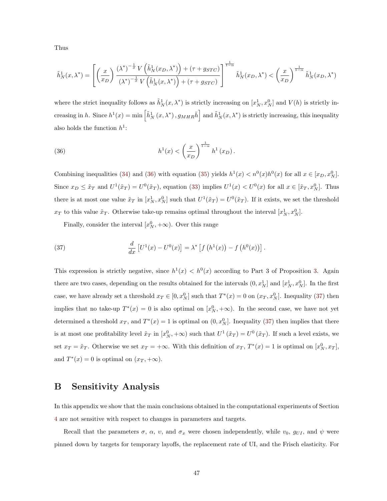Thus

$$
\tilde{h}_N^1(x,\lambda^*)=\left[\left(\frac{x}{x_D}\right)\frac{(\lambda^*)^{-\frac{1}{\sigma}}V\left(\tilde{h}_N^1(x_D,\lambda^*)\right)+(\tau+g_{STC})}{(\lambda^*)^{-\frac{1}{\sigma}}V\left(\tilde{h}_N^1(x,\lambda^*)\right)+(\tau+g_{STC})}\right]^{\frac{1}{1-\alpha}}\tilde{h}_N^1(x_D,\lambda^*)<\left(\frac{x}{x_D}\right)^{\frac{1}{1-\alpha}}\tilde{h}_N^1(x_D,\lambda^*)
$$

<span id="page-48-1"></span>where the strict inequality follows as  $\tilde{h}_N^1(x, \lambda^*)$  is strictly increasing on  $[x_N^1, x_N^0]$  and  $V(h)$  is strictly increasing in *h*. Since  $h^1(x) = \min \left[ \tilde{h}^1_N(x, \lambda^*)$ ,  $g_{MHR} \bar{h} \right]$  and  $\tilde{h}^1_N(x, \lambda^*)$  is strictly increasing, this inequality also holds the function  $h^1$ :

(36) 
$$
h^{1}(x) < \left(\frac{x}{x_{D}}\right)^{\frac{1}{1-\alpha}} h^{1}(x_{D}).
$$

Combininginequalities ([34\)](#page-47-0) and [\(36](#page-48-1)) with equation ([35\)](#page-47-1) yields  $h^1(x) < n^0(x)h^0(x)$  for all  $x \in [x_D, x_N^0]$ . Since  $x_D \leq \tilde{x}_T$  and  $U^1(\tilde{x}_T) = U^0(\tilde{x}_T)$ , equation [\(33](#page-47-2)) implies  $U^1(x) < U^0(x)$  for all  $x \in [\tilde{x}_T, x_N^0]$ . Thus there is at most one value  $\tilde{x}_T$  in  $[x_N^1, x_N^0]$  such that  $U^1(\tilde{x}_T) = U^0(\tilde{x}_T)$ . If it exists, we set the threshold  $x_T$  to this value  $\tilde{x}_T$ . Otherwise take-up remains optimal throughout the interval  $[x_N^1, x_N^0]$ .

<span id="page-48-2"></span>Finally, consider the interval  $[x_N^0, +\infty)$ . Over this range

(37) 
$$
\frac{d}{dx} [U^1(x) - U^0(x)] = \lambda^* [f(h^1(x)) - f(h^0(x))].
$$

This expression is strictly negative, since  $h^1(x) < h^0(x)$  according to Part [3](#page-13-3) of Proposition 3. Again there are two cases, depending on the results obtained for the intervals  $(0, x_N^1]$  and  $[x_N^1, x_N^0]$ . In the first case, we have already set a threshold  $x_T \in [0, x_N^0]$  such that  $T^*(x) = 0$  on  $(x_T, x_N^0]$ . Inequality [\(37](#page-48-2)) then implies that no take-up  $T^*(x) = 0$  is also optimal on  $[x_N^0, +\infty)$ . In the second case, we have not yet determineda threshold  $x_T$ , and  $T^*(x) = 1$  is optimal on  $(0, x_N^0]$ . Inequality ([37](#page-48-2)) then implies that there is at most one profitability level  $\tilde{x}_T$  in  $[x_N^0, +\infty)$  such that  $U^1(\tilde{x}_T) = U^0(\tilde{x}_T)$ . If such a level exists, we set  $x_T = \tilde{x}_T$ . Otherwise we set  $x_T = +\infty$ . With this definition of  $x_T$ ,  $T^*(x) = 1$  is optimal on  $[x_N^0, x_T]$ , and  $T^*(x) = 0$  is optimal on  $(x_T, +\infty)$ .

### <span id="page-48-0"></span>**B Sensitivity Analysis**

In this appendix we show that the main conclusions obtained in the computational experiments of Section [4](#page-19-0) are not sensitive with respect to changes in parameters and targets.

Recall that the parameters  $\sigma$ ,  $\alpha$ ,  $v$ , and  $\sigma_x$  were chosen independently, while  $v_0$ ,  $g_{UI}$ , and  $\psi$  were pinned down by targets for temporary layoffs, the replacement rate of UI, and the Frisch elasticity. For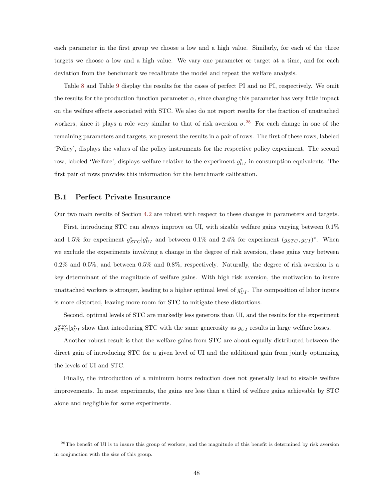each parameter in the first group we choose a low and a high value. Similarly, for each of the three targets we choose a low and a high value. We vary one parameter or target at a time, and for each deviation from the benchmark we recalibrate the model and repeat the welfare analysis.

Table [8](#page-51-0) and Table [9](#page-52-0) display the results for the cases of perfect PI and no PI, respectively. We omit the results for the production function parameter  $\alpha$ , since changing this parameter has very little impact on the welfare effects associated with STC. We also do not report results for the fraction of unattached workers, since it plays a role very similar to that of risk aversion  $\sigma$ <sup>28</sup>. For each change in one of the remaining parameters and targets, we present the results in a pair of rows. The first of these rows, labeled 'Policy', displays the values of the policy instruments for the respective policy experiment. The second row, labeled 'Welfare', displays welfare relative to the experiment  $g_{UI}^*$  in consumption equivalents. The first pair of rows provides this information for the benchmark calibration.

#### **B.1 Perfect Private Insurance**

Our two main results of Section [4.2](#page-24-1) are robust with respect to these changes in parameters and targets.

First, introducing STC can always improve on UI, with sizable welfare gains varying between 0*.*1% and 1.5% for experiment  $g_{STC}^*|g_{UI}^*|$  and between 0.1% and 2.4% for experiment  $(g_{STC}, g_{UI})^*$ . When we exclude the experiments involving a change in the degree of risk aversion, these gains vary between 0*.*2% and 0*.*5%, and between 0*.*5% and 0*.*8%, respectively. Naturally, the degree of risk aversion is a key determinant of the magnitude of welfare gains. With high risk aversion, the motivation to insure unattached workers is stronger, leading to a higher optimal level of  $g^*_{UI}$ . The composition of labor inputs is more distorted, leaving more room for STC to mitigate these distortions.

Second, optimal levels of STC are markedly less generous than UI, and the results for the experiment  $\bar{g}_{STC}^{\text{max}}|g_{UI}^*|$  show that introducing STC with the same generosity as  $g_{UI}$  results in large welfare losses.

Another robust result is that the welfare gains from STC are about equally distributed between the direct gain of introducing STC for a given level of UI and the additional gain from jointly optimizing the levels of UI and STC.

Finally, the introduction of a minimum hours reduction does not generally lead to sizable welfare improvements. In most experiments, the gains are less than a third of welfare gains achievable by STC alone and negligible for some experiments.

<sup>&</sup>lt;sup>28</sup>The benefit of UI is to insure this group of workers, and the magnitude of this benefit is determined by risk aversion in conjunction with the size of this group.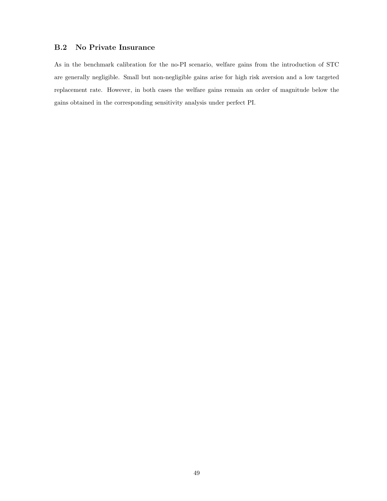### **B.2 No Private Insurance**

As in the benchmark calibration for the no-PI scenario, welfare gains from the introduction of STC are generally negligible. Small but non-negligible gains arise for high risk aversion and a low targeted replacement rate. However, in both cases the welfare gains remain an order of magnitude below the gains obtained in the corresponding sensitivity analysis under perfect PI.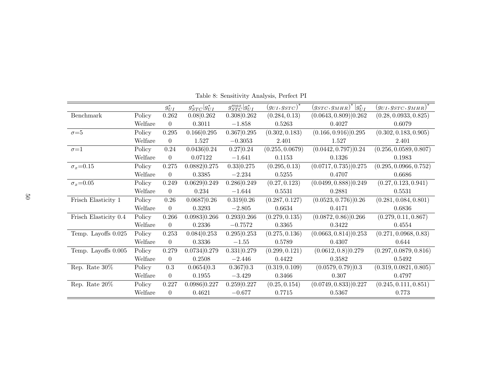<span id="page-51-0"></span>

|                       |         | $g_{UI}^*$     | $g_{STC}^* g_{UI}^* $ | $g_{STC}^{max} g_{UI}^* $ | $(g_{UI}, g_{STC})^*$ | $(g_{STC}, g_{MHR})^*   g_{UI}^*$ | $(g_{UI}, g_{STC}, g_{MHR})$ |
|-----------------------|---------|----------------|-----------------------|---------------------------|-----------------------|-----------------------------------|------------------------------|
| Benchmark             | Policy  | 0.262          | 0.08 0.262            | 0.308 0.262               | (0.284, 0.13)         | (0.0643, 0.809)   0.262           | (0.28, 0.0933, 0.825)        |
|                       | Welfare | $\Omega$       | 0.3011                | $-1.858$                  | 0.5263                | 0.4027                            | 0.6079                       |
| $\sigma = 5$          | Policy  | 0.295          | 0.166 0.295           | 0.367 0.295               | (0.302, 0.183)        | (0.166, 0.916)   0.295            | (0.302, 0.183, 0.905)        |
|                       | Welfare | $\Omega$       | 1.527                 | $-0.3053$                 | 2.401                 | 1.527                             | 2.401                        |
| $\sigma = 1$          | Policy  | 0.24           | 0.0436 0.24           | 0.27 0.24                 | (0.255, 0.0679)       | (0.0442, 0.797)   0.24            | (0.256, 0.0589, 0.807)       |
|                       | Welfare | $\overline{0}$ | 0.07122               | $-1.641$                  | 0.1153                | 0.1326                            | 0.1983                       |
| $\sigma_x = 0.15$     | Policy  | 0.275          | 0.0882 0.275          | 0.33 0.275                | (0.295, 0.13)         | (0.0717, 0.735)   0.275           | (0.295, 0.0966, 0.752)       |
|                       | Welfare | $\Omega$       | 0.3385                | $-2.234$                  | 0.5255                | 0.4707                            | 0.6686                       |
| $\sigma_x = 0.05$     | Policy  | 0.249          | 0.0629 0.249          | 0.286 0.249               | (0.27, 0.123)         | (0.0499, 0.888)   0.249           | (0.27, 0.123, 0.941)         |
|                       | Welfare | $\theta$       | 0.234                 | $-1.644$                  | 0.5531                | 0.2881                            | 0.5531                       |
| Frisch Elasticity 1   | Policy  | 0.26           | 0.0687 0.26           | 0.319 0.26                | (0.287, 0.127)        | (0.0523, 0.776)   0.26            | (0.281, 0.084, 0.801)        |
|                       | Welfare | $\Omega$       | 0.3293                | $-2.805$                  | 0.6634                | 0.4171                            | 0.6836                       |
| Frisch Elasticity 0.4 | Policy  | 0.266          | 0.0983 0.266          | 0.293 0.266               | (0.279, 0.135)        | (0.0872, 0.86)   0.266            | (0.279, 0.11, 0.867)         |
|                       | Welfare | $\Omega$       | 0.2336                | $-0.7572$                 | 0.3365                | 0.3422                            | 0.4554                       |
| Temp. Layoffs 0.025   | Policy  | 0.253          | 0.084 0.253           | 0.295 0.253               | (0.275, 0.136)        | (0.0663, 0.814)   0.253           | (0.271, 0.0968, 0.83)        |
|                       | Welfare | $\Omega$       | 0.3336                | $-1.55$                   | 0.5789                | 0.4307                            | 0.644                        |
| Temp. Layoffs 0.005   | Policy  | 0.279          | 0.0734 0.279          | 0.331 0.279               | (0.299, 0.121)        | (0.0612, 0.8)   0.279             | (0.297, 0.0879, 0.816)       |
|                       | Welfare | $\theta$       | 0.2508                | $-2.446$                  | 0.4422                | 0.3582                            | 0.5492                       |
| Rep. Rate 30%         | Policy  | 0.3            | 0.0654 0.3            | 0.367 0.3                 | (0.319, 0.109)        | (0.0579, 0.79)   0.3              | (0.319, 0.0821, 0.805)       |
|                       | Welfare | $\theta$       | 0.1955                | $-3.429$                  | 0.3466                | 0.307                             | 0.4797                       |
| Rep. Rate 20%         | Policy  | 0.227          | 0.0986 0.227          | 0.259 0.227               | (0.25, 0.154)         | (0.0749, 0.833)   0.227           | (0.245, 0.111, 0.851)        |
|                       | Welfare | $\overline{0}$ | 0.4621                | $-0.677$                  | 0.7715                | 0.5367                            | 0.773                        |

Table 8: Sensitivity Analysis, Perfect PI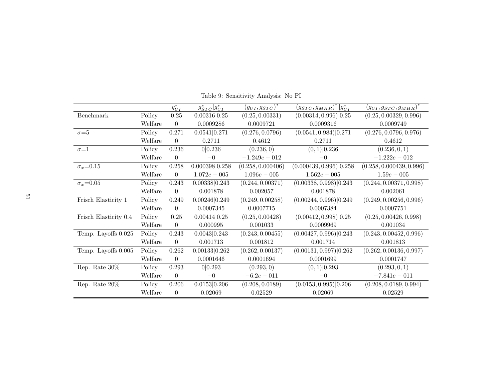<span id="page-52-0"></span>

|                       |         | $g_{UI}^*$     | $g_{STC}^* g_{UI}^*$ | $(g_{UI}, g_{STC})^*$ | $(g_{STC}, g_{MHR})^*   g_{UI}^*$ | $(g_{UI}, g_{STC}, g_{MHR})^{\dagger}$ |
|-----------------------|---------|----------------|----------------------|-----------------------|-----------------------------------|----------------------------------------|
| Benchmark             | Policy  | 0.25           | 0.00316 0.25         | (0.25, 0.00331)       | (0.00314, 0.996)   0.25           | (0.25, 0.00329, 0.996)                 |
|                       | Welfare | $\theta$       | 0.0009286            | 0.0009721             | 0.0009316                         | 0.0009749                              |
| $\sigma = 5$          | Policy  | 0.271          | 0.0541 0.271         | (0.276, 0.0796)       | (0.0541, 0.984)   0.271           | (0.276, 0.0796, 0.976)                 |
|                       | Welfare | $\Omega$       | 0.2711               | 0.4612                | 0.2711                            | 0.4612                                 |
| $\sigma = 1$          | Policy  | 0.236          | 0 0.236              | (0.236, 0)            | $(0,1)$  0.236                    | (0.236, 0, 1)                          |
|                       | Welfare | $\theta$       | $-0$                 | $-1.249e - 012$       | $-0$                              | $-1.222e - 012$                        |
| $\sigma_x = 0.15$     | Policy  | 0.258          | 0.000398 0.258       | (0.258, 0.000406)     | (0.000439, 0.996)   0.258         | (0.258, 0.000439, 0.996)               |
|                       | Welfare | $\overline{0}$ | $1.072e - 005$       | $1.096e - 005$        | $1.562e - 005$                    | $1.59e - 005$                          |
| $\sigma_x = 0.05$     | Policy  | 0.243          | 0.00338 0.243        | (0.244, 0.00371)      | (0.00338, 0.998)   0.243          | (0.244, 0.00371, 0.998)                |
|                       | Welfare | $\Omega$       | 0.001878             | 0.002057              | 0.001878                          | 0.002061                               |
| Frisch Elasticity 1   | Policy  | 0.249          | 0.00246 0.249        | (0.249, 0.00258)      | (0.00244, 0.996)   0.249          | (0.249, 0.00256, 0.996)                |
|                       | Welfare | $\theta$       | 0.0007345            | 0.0007715             | 0.0007384                         | 0.0007751                              |
| Frisch Elasticity 0.4 | Policy  | $0.25\,$       | 0.00414 0.25         | (0.25, 0.00428)       | (0.00412, 0.998)   0.25           | (0.25, 0.00426, 0.998)                 |
|                       | Welfare | $\theta$       | 0.000995             | 0.001033              | 0.0009969                         | 0.001034                               |
| Temp. Layoffs 0.025   | Policy  | 0.243          | 0.0043 0.243         | (0.243, 0.00455)      | (0.00427, 0.996)   0.243          | (0.243, 0.00452, 0.996)                |
|                       | Welfare | $\theta$       | 0.001713             | 0.001812              | 0.001714                          | 0.001813                               |
| Temp. Layoffs 0.005   | Policy  | 0.262          | 0.00133 0.262        | (0.262, 0.00137)      | (0.00131, 0.997)   0.262          | (0.262, 0.00136, 0.997)                |
|                       | Welfare | $\theta$       | 0.0001646            | 0.0001694             | 0.0001699                         | 0.0001747                              |
| Rep. Rate 30%         | Policy  | 0.293          | 0 0.293              | (0.293, 0)            | $(0,1)$  0.293                    | (0.293, 0, 1)                          |
|                       | Welfare | $\theta$       | $-0$                 | $-6.2e - 011$         | $-0$                              | $-7.841e - 011$                        |
| Rep. Rate 20%         | Policy  | 0.206          | 0.0153 0.206         | (0.208, 0.0189)       | (0.0153, 0.995)   0.206           | (0.208, 0.0189, 0.994)                 |
|                       | Welfare | $\theta$       | 0.02069              | 0.02529               | 0.02069                           | 0.02529                                |

Table 9: Sensitivity Analysis: No PI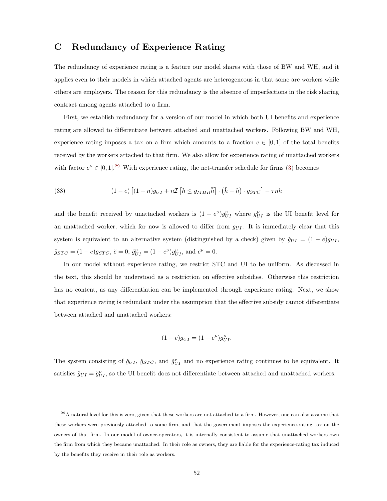### <span id="page-53-0"></span>**C Redundancy of Experience Rating**

The redundancy of experience rating is a feature our model shares with those of BW and WH, and it applies even to their models in which attached agents are heterogeneous in that some are workers while others are employers. The reason for this redundancy is the absence of imperfections in the risk sharing contract among agents attached to a firm.

First, we establish redundancy for a version of our model in which both UI benefits and experience rating are allowed to differentiate between attached and unattached workers. Following BW and WH, experience rating imposes a tax on a firm which amounts to a fraction  $e \in [0,1]$  of the total benefits received by the workers attached to that firm. We also allow for experience rating of unattached workers withfactor  $e^{\nu} \in [0,1]$ .<sup>29</sup> With experience rating, the net-transfer schedule for firms ([3](#page-8-0)) becomes

(38) 
$$
(1-e)\left[ (1-n)g_{UI} + n\mathcal{I} \left[ h \leq g_{MHR}\bar{h} \right] \cdot \left( \bar{h} - h \right) \cdot g_{STC} \right] - \tau nh
$$

and the benefit received by unattached workers is  $(1 - e^{\nu})g_{UI}^{\nu}$  where  $g_{UI}^{\nu}$  is the UI benefit level for an unattached worker, which for now is allowed to differ from  $g_{UI}$ . It is immediately clear that this system is equivalent to an alternative system (distinguished by a check) given by  $\tilde{g}_{UI} = (1 - e)g_{UI}$ ,  $\check{g}_{STC} = (1 - e)g_{STC}, \, \check{e} = 0, \, \check{g}_{UI}^{\nu} = (1 - e^{\nu})g_{UI}^{\nu}, \, \text{and} \, \check{e}^{\nu} = 0.$ 

In our model without experience rating, we restrict STC and UI to be uniform. As discussed in the text, this should be understood as a restriction on effective subsidies. Otherwise this restriction has no content, as any differentiation can be implemented through experience rating. Next, we show that experience rating is redundant under the assumption that the effective subsidy cannot differentiate between attached and unattached workers:

$$
(1 - e)g_{UI} = (1 - e^{\nu})g_{UI}^{\nu}.
$$

The system consisting of  $\check{g}_{UI}$ ,  $\check{g}_{STC}$ , and  $\check{g}_{UI}^{\nu}$  and no experience rating continues to be equivalent. It satisfies  $\check{g}_{UI} = \check{g}_{UI}^{\nu}$ , so the UI benefit does not differentiate between attached and unattached workers.

 $^{29}$ A natural level for this is zero, given that these workers are not attached to a firm. However, one can also assume that these workers were previously attached to some firm, and that the government imposes the experience-rating tax on the owners of that firm. In our model of owner-operators, it is internally consistent to assume that unattached workers own the firm from which they became unattached. In their role as owners, they are liable for the experience-rating tax induced by the benefits they receive in their role as workers.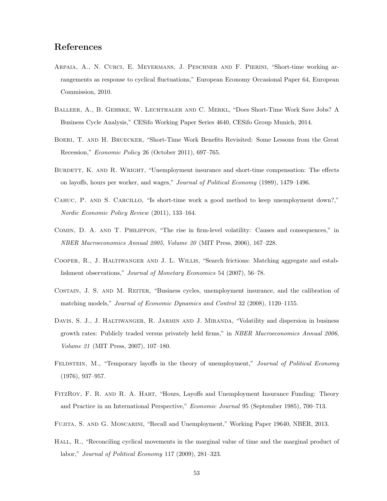### **References**

- <span id="page-54-0"></span>Arpaia, A., N. Curci, E. Meyermans, J. Peschner and F. Pierini, "Short-time working arrangements as response to cyclical fluctuations," European Economy Occasional Paper 64, European Commission, 2010.
- <span id="page-54-3"></span>Balleer, A., B. Gehrke, W. Lechthaler and C. Merkl, "Does Short-Time Work Save Jobs? A Business Cycle Analysis," CESifo Working Paper Series 4640, CESifo Group Munich, 2014.
- <span id="page-54-1"></span>Boeri, T. and H. Bruecker, "Short-Time Work Benefits Revisited: Some Lessons from the Great Recession," *Economic Policy* 26 (October 2011), 697–765.
- <span id="page-54-5"></span>BURDETT, K. AND R. WRIGHT, "Unemployment insurance and short-time compensation: The effects on layoffs, hours per worker, and wages," *Journal of Political Economy* (1989), 1479–1496.
- <span id="page-54-2"></span>Cahuc, P. and S. Carcillo, "Is short-time work a good method to keep unemployment down?," *Nordic Economic Policy Review* (2011), 133–164.
- <span id="page-54-9"></span>Comin, D. A. and T. Philippon, "The rise in firm-level volatility: Causes and consequences," in *NBER Macroeconomics Annual 2005, Volume 20* (MIT Press, 2006), 167–228.
- <span id="page-54-7"></span>Cooper, R., J. Haltiwanger and J. L. Willis, "Search frictions: Matching aggregate and establishment observations," *Journal of Monetary Economics* 54 (2007), 56–78.
- <span id="page-54-12"></span>Costain, J. S. and M. Reiter, "Business cycles, unemployment insurance, and the calibration of matching models," *Journal of Economic Dynamics and Control* 32 (2008), 1120–1155.
- <span id="page-54-10"></span>DAVIS, S. J., J. HALTIWANGER, R. JARMIN AND J. MIRANDA, "Volatility and dispersion in business growth rates: Publicly traded versus privately held firms," in *NBER Macroeconomics Annual 2006, Volume 21* (MIT Press, 2007), 107–180.
- <span id="page-54-4"></span>Feldstein, M., "Temporary layoffs in the theory of unemployment," *Journal of Political Economy* (1976), 937–957.
- <span id="page-54-6"></span>FitzRoy, F. R. and R. A. Hart, "Hours, Layoffs and Unemployment Insurance Funding: Theory and Practice in an International Perspective," *Economic Journal* 95 (September 1985), 700–713.
- <span id="page-54-11"></span>Fujita, S. and G. Moscarini, "Recall and Unemployment," Working Paper 19640, NBER, 2013.
- <span id="page-54-8"></span>HALL, R., "Reconciling cyclical movements in the marginal value of time and the marginal product of labor," *Journal of Political Economy* 117 (2009), 281–323.